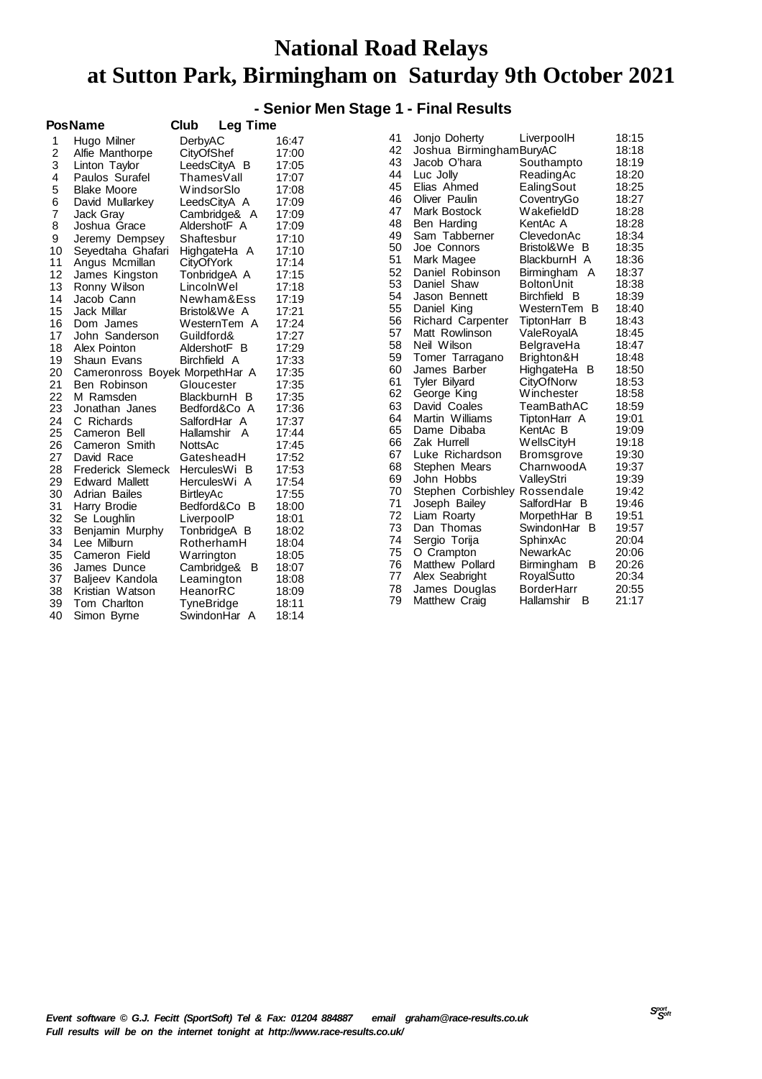### **- Senior Men Stage 1 - Final Results**

|                | PosName                        | Club<br>Leg Time  |       |
|----------------|--------------------------------|-------------------|-------|
| 1              | Hugo Milner                    | DerbyAC           | 16:47 |
| $\overline{c}$ | Alfie Manthorpe                | CityOfShef        | 17:00 |
| 3              | Linton Taylor                  | LeedsCityA<br>в   | 17:05 |
| 4              | Paulos Surafel                 | ThamesVall        | 17:07 |
| 5              | <b>Blake Moore</b>             | WindsorSlo        | 17:08 |
| 6              | David Mullarkey                | LeedsCityA A      | 17:09 |
| $\overline{7}$ | Jack Gray                      | Cambridge&<br>A   | 17:09 |
| 8              | Joshua Grace                   | AldershotF A      | 17:09 |
| 9              | Jeremy Dempsey                 | Shaftesbur        | 17:10 |
| 10             | Seyedtaha Ghafari              | HighgateHa<br>Α   | 17:10 |
| 11             | Angus Mcmillan                 | CityOfYork        | 17:14 |
| 12             | James Kingston                 | TonbridgeA A      | 17:15 |
| 13             | Ronny Wilson                   | LincolnWel        | 17:18 |
| 14             | Jacob Cann                     | Newham&Ess        | 17:19 |
| 15             | Jack Millar                    | Bristol&We A      | 17:21 |
| 16             | Dom James                      | WesternTem A      | 17:24 |
| 17             | John Sanderson                 | Guildford&        | 17:27 |
| 18             | Alex Pointon                   | AldershotF B      | 17:29 |
| 19             | Shaun Evans                    | Birchfield A      | 17:33 |
| 20             | Cameronross Boyek MorpethHar A |                   | 17:35 |
| 21             | Ben Robinson                   | Gloucester        | 17:35 |
| 22             | M Ramsden                      | в<br>BlackburnH   | 17:35 |
| 23             | Jonathan Janes                 | Bedford&Co A      | 17:36 |
| 24             | C Richards                     | SalfordHar A      | 17:37 |
| 25             | Cameron Bell                   | A<br>Hallamshir   | 17:44 |
| 26             | Cameron Smith                  | NottsAc           | 17:45 |
| 27             | David Race                     | GatesheadH        | 17:52 |
| 28             | Frederick Slemeck              | HerculesWi<br>- в | 17:53 |
| 29             | <b>Edward Mallett</b>          | HerculesWi A      | 17:54 |
| 30             | Adrian Bailes                  | BirtleyAc         | 17:55 |
| 31             | Harry Brodie                   | Bedford&Co<br>B   | 18:00 |
| 32             | Se Loughlin                    | LiverpoolP        | 18:01 |
| 33             | Benjamin Murphy                | TonbridgeA B      | 18:02 |
| 34             | Lee Milburn                    | RotherhamH        | 18:04 |
| 35             | Cameron Field                  | Warrington        | 18:05 |
| 36             | James Dunce                    | Cambridge&<br>в   | 18:07 |
| 37             | Baljeev Kandola                | Leamington        | 18:08 |
| 38             | Kristian Watson                | HeanorRC          | 18:09 |
| 39             | Tom Charlton                   | TyneBridge        | 18:11 |
| 40             | Simon Byrne                    | SwindonHar<br>A   | 18:14 |
|                |                                |                   |       |

| 41 | Jonjo Doherty            | LiverpoolH               | 18:15 |
|----|--------------------------|--------------------------|-------|
| 42 | Joshua BirminghamBuryAC  |                          | 18:18 |
| 43 | Jacob O'hara             | Southampto               | 18:19 |
| 44 | Luc Jolly                | ReadingAc                | 18:20 |
| 45 | Elias Ahmed              | EalingSout               | 18:25 |
| 46 | Oliver Paulin            | CoventryGo               | 18:27 |
| 47 | <b>Mark Bostock</b>      | WakefieldD               | 18:28 |
| 48 | Ben Harding              | KentAc A                 | 18:28 |
| 49 | Sam Tabberner            | ClevedonAc               | 18:34 |
| 50 | Joe Connors              | Bristol&We<br>в          | 18:35 |
| 51 | Mark Magee               | BlackburnH A             | 18:36 |
| 52 | Daniel Robinson          | Birmingham<br>A          | 18:37 |
| 53 | Daniel Shaw              | BoltonUnit               | 18:38 |
| 54 | Jason Bennett            | <b>Birchfield</b><br>- B | 18:39 |
| 55 | Daniel King              | WesternTem<br>в          | 18:40 |
| 56 | <b>Richard Carpenter</b> | TiptonHarr B             | 18:43 |
| 57 | Matt Rowlinson           | ValeRoyalA               | 18:45 |
| 58 | Neil Wilson              | BelgraveHa               | 18:47 |
| 59 | Tomer Tarragano          | Brighton&H               | 18:48 |
| 60 | James Barber             | HighgateHa<br>В          | 18:50 |
| 61 | <b>Tyler Bilyard</b>     | CityOfNorw               | 18:53 |
| 62 | George King              | Winchester               | 18:58 |
| 63 | David Coales             | TeamBathAC               | 18:59 |
| 64 | Martin Williams          | TiptonHarr A             | 19:01 |
| 65 | Dame Dibaba              | KentAc B                 | 19:09 |
| 66 | Zak Hurrell              | <b>WellsCityH</b>        | 19:18 |
| 67 | Luke Richardson          | Bromsgrove               | 19:30 |
| 68 | Stephen Mears            | CharnwoodA               | 19:37 |
| 69 | John Hobbs               | ValleyStri               | 19:39 |
| 70 | Stephen Corbishley       | Rossendale               | 19:42 |
| 71 | Joseph Bailey            | SalfordHar B             | 19:46 |
| 72 | Liam Roarty              | MorpethHar B             | 19:51 |
| 73 | Dan Thomas               | SwindonHar<br>в          | 19:57 |
| 74 | Sergio Torija            | SphinxAc                 | 20:04 |
| 75 | O Crampton               | NewarkAc                 | 20:06 |
| 76 | Matthew Pollard          | Birmingham<br>в          | 20:26 |
| 77 | Alex Seabright           | RoyalSutto               | 20:34 |
| 78 | James Douglas            | <b>BorderHarr</b>        | 20:55 |
| 79 | <b>Matthew Craig</b>     | Hallamshir<br>В          | 21:17 |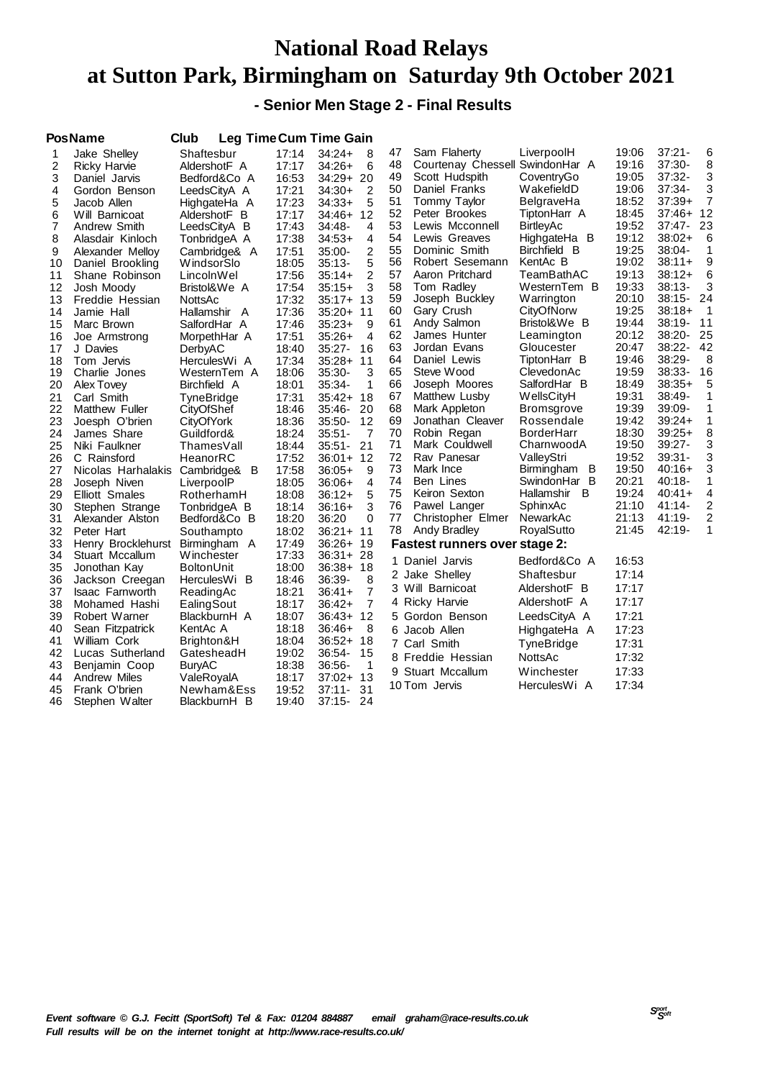**- Senior Men Stage 2 - Final Results**

|          | <b>PosName</b>                        | Club                     |                | <b>Leg Time Cum Time Gain</b> |          |                                      |                          |                |                  |        |
|----------|---------------------------------------|--------------------------|----------------|-------------------------------|----------|--------------------------------------|--------------------------|----------------|------------------|--------|
| 1        | Jake Shelley                          | Shaftesbur               | 17:14          | $34:24+$<br>8                 | 47       | Sam Flaherty                         | LiverpoolH               | 19:06          | $37:21 -$        | 6      |
| 2        | Ricky Harvie                          | AldershotF A             | 17:17          | 34:26+<br>6                   | 48       | Courtenay Chessell SwindonHar A      |                          | 19:16          | 37:30-           | 8      |
| 3        | Daniel Jarvis                         | Bedford&Co A             | 16:53          | 34:29+ 20                     | 49       | Scott Hudspith                       | CoventryGo               | 19:05          | $37:32 -$        | 3      |
| 4        | Gordon Benson                         | LeedsCityA A             | 17:21          | $34:30+$<br>2                 | 50       | Daniel Franks                        | WakefieldD               | 19:06          | 37:34-           | 3      |
| 5        | Jacob Allen                           | HighgateHa A             | 17:23          | $34:33+$<br>5                 | 51       | Tommy Taylor                         | BelgraveHa               | 18:52          | $37:39+$         | 7      |
| 6        | Will Barnicoat                        | AldershotF B             | 17:17          | 12<br>34:46+                  | 52       | Peter Brookes                        | TiptonHarr A             | 18:45          | $37:46+$         | 12     |
| 7        | Andrew Smith                          | LeedsCityA B             | 17:43          | 34:48-<br>4                   | 53       | Lewis Mcconnell                      | <b>BirtleyAc</b>         | 19:52          | 37:47-           | 23     |
| 8        | Alasdair Kinloch                      | TonbridgeA A             | 17:38          | $34:53+$<br>4                 | 54       | Lewis Greaves                        | HighgateHa B             | 19:12          | $38:02+$         | 6      |
| 9        | Alexander Melloy                      | Cambridge& A             | 17:51          | 2<br>35:00-                   | 55       | Dominic Smith                        | Birchfield B             | 19:25          | $38:04 -$        | 1      |
| 10       | Daniel Brookling                      | WindsorSlo               | 18:05          | 5<br>35:13-                   | 56       | Robert Sesemann                      | KentAc B                 | 19:02          | $38:11+$         | 9      |
| 11       | Shane Robinson                        | LincolnWel               | 17:56          | 2<br>35:14+                   | 57       | Aaron Pritchard                      | TeamBathAC               | 19:13          | $38:12+$         | 6      |
| 12       | Josh Moody                            | Bristol&We A             | 17:54          | $35:15+$<br>3                 | 58       | Tom Radley                           | WesternTem B             | 19:33          | $38:13-$         | 3      |
| 13       | Freddie Hessian                       | NottsAc                  | 17:32          | $35:17+$<br>13                | 59       | Joseph Buckley                       | Warrington               | 20:10          | 38:15-           | 24     |
| 14       | Jamie Hall                            | Hallamshir A             | 17:36          | 35:20+<br>11                  | 60       | Gary Crush                           | CityOfNorw               | 19:25          | $38:18+$         | 1      |
| 15       | Marc Brown                            | SalfordHar A             | 17:46          | $35:23+$<br>9                 | 61       | Andy Salmon                          | Bristol&We B             | 19:44          | $38:19 -$        | 11     |
| 16       | Joe Armstrong                         | MorpethHar A             | 17:51          | $35:26+$<br>$\overline{4}$    | 62       | James Hunter                         | Leamington               | 20:12          | 38:20-           | 25     |
| 17       | J Davies                              | DerbyAC                  | 18:40          | $35:27-$<br>16                | 63       | Jordan Evans                         | Gloucester               | 20:47          | $38:22-$         | 42     |
| 18       | Tom Jervis                            | HerculesWi A             | 17:34          | 35:28+<br>11                  | 64       | Daniel Lewis                         | TiptonHarr B             | 19:46          | 38:29-           | 8      |
| 19       | Charlie Jones                         | WesternTem A             | 18:06          | 35:30-<br>3                   | 65       | Steve Wood                           | ClevedonAc               | 19:59          | $38:33-$         | 16     |
| 20       | Alex Tovey                            | Birchfield A             | 18:01          | 35:34-<br>1                   | 66       | Joseph Moores                        | SalfordHar B             | 18:49          | $38:35+$         | 5      |
| 21       | Carl Smith                            | <b>TyneBridge</b>        | 17:31          | $35:42+$<br>-18               | 67<br>68 | Matthew Lusby                        | <b>WellsCityH</b>        | 19:31<br>19:39 | 38:49-<br>39:09- | 1<br>1 |
| 22       | <b>Matthew Fuller</b>                 | CityOfShef               | 18:46          | 35:46-<br>20                  | 69       | Mark Appleton                        | <b>Bromsgrove</b>        |                | $39:24+$         | 1      |
| 23       | Joesph O'brien                        | CityOfYork               | 18:36          | 12<br>35:50-                  | 70       | Jonathan Cleaver                     | Rossendale<br>BorderHarr | 19:42          | $39:25+$         | 8      |
| 24       | James Share                           | Guildford&               | 18:24          | $35:51 -$<br>7<br>21          | 71       | Robin Regan<br>Mark Couldwell        | CharnwoodA               | 18:30<br>19:50 | $39:27 -$        | 3      |
| 25       | Niki Faulkner                         | ThamesVall               | 18:44          | $35:51-$                      | 72       | Rav Panesar                          | ValleyStri               | 19:52          | $39:31 -$        | 3      |
| 26<br>27 | C Rainsford                           | HeanorRC                 | 17:52<br>17:58 | $36:01+ 12$<br>$36:05+$<br>9  | 73       | Mark Ince                            | Birmingham<br>B          | 19:50          | 40:16+           | 3      |
| 28       | Nicolas Harhalakis                    | Cambridge& B             | 18:05          | $36:06+$<br>4                 | 74       | Ben Lines                            | SwindonHar B             | 20:21          | 40:18-           | 1      |
| 29       | Joseph Niven<br><b>Elliott Smales</b> | LiverpoolP<br>RotherhamH | 18:08          | 5<br>36:12+                   | 75       | Keiron Sexton                        | Hallamshir<br>B          | 19:24          | $40:41+$         | 4      |
| 30       | Stephen Strange                       | TonbridgeA B             | 18:14          | 3<br>36:16+                   | 76       | Pawel Langer                         | SphinxAc                 | 21:10          | $41:14 -$        | 2      |
| 31       | Alexander Alston                      | Bedford&Co B             | 18:20          | 36:20<br>0                    | 77       | Christopher Elmer                    | NewarkAc                 | 21:13          | 41:19-           | 2      |
| 32       | Peter Hart                            | Southampto               | 18:02          | $36:21+$<br>11                | 78       | Andy Bradley                         | RoyalSutto               | 21:45          | 42:19-           | 1      |
| 33       | Henry Brocklehurst                    | Birmingham A             | 17:49          | 36:26+ 19                     |          | <b>Fastest runners over stage 2:</b> |                          |                |                  |        |
| 34       | Stuart Mccallum                       | Winchester               | 17:33          | 36:31+ 28                     |          |                                      |                          |                |                  |        |
| 35       | Jonothan Kay                          | BoltonUnit               | 18:00          | 36:38+<br>-18                 |          | 1 Daniel Jarvis                      | Bedford&Co A             | 16:53          |                  |        |
| 36       | Jackson Creegan                       | HerculesWi B             | 18:46          | 36:39-<br>8                   |          | 2 Jake Shelley                       | Shaftesbur               | 17:14          |                  |        |
| 37       | Isaac Farnworth                       | ReadingAc                | 18:21          | $\overline{7}$<br>36:41+      |          | 3 Will Barnicoat                     | AldershotF B             | 17:17          |                  |        |
| 38       | Mohamed Hashi                         | EalingSout               | 18:17          | 7<br>36:42+                   |          | 4 Ricky Harvie                       | AldershotF A             | 17:17          |                  |        |
| 39       | Robert Warner                         | BlackburnH A             | 18:07          | 12<br>36:43+                  |          | 5 Gordon Benson                      | LeedsCityA A             | 17:21          |                  |        |
| 40       | Sean Fitzpatrick                      | KentAc A                 | 18:18          | 8<br>36:46+                   |          | 6 Jacob Allen                        | HighgateHa A             | 17:23          |                  |        |
| 41       | William Cork                          | Brighton&H               | 18:04          | 36:52+<br>18                  |          | 7 Carl Smith                         | TyneBridge               | 17:31          |                  |        |
| 42       | Lucas Sutherland                      | GatesheadH               | 19:02          | 36:54-<br>15                  |          | 8 Freddie Hessian                    | <b>NottsAc</b>           | 17:32          |                  |        |
| 43       | Benjamin Coop                         | <b>BuryAC</b>            | 18:38          | 36:56-<br>1                   |          |                                      |                          |                |                  |        |
| 44       | Andrew Miles                          | ValeRoyalA               | 18:17          | 13<br>37:02+                  |          | 9 Stuart Mccallum                    | Winchester               | 17:33          |                  |        |
| 45       | Frank O'brien                         | Newham&Ess               | 19:52          | 37:11-<br>31                  |          | 10 Tom Jervis                        | HerculesWi A             | 17:34          |                  |        |
| 46       | Stephen Walter                        | BlackburnH B             | 19:40          | 24<br>37:15-                  |          |                                      |                          |                |                  |        |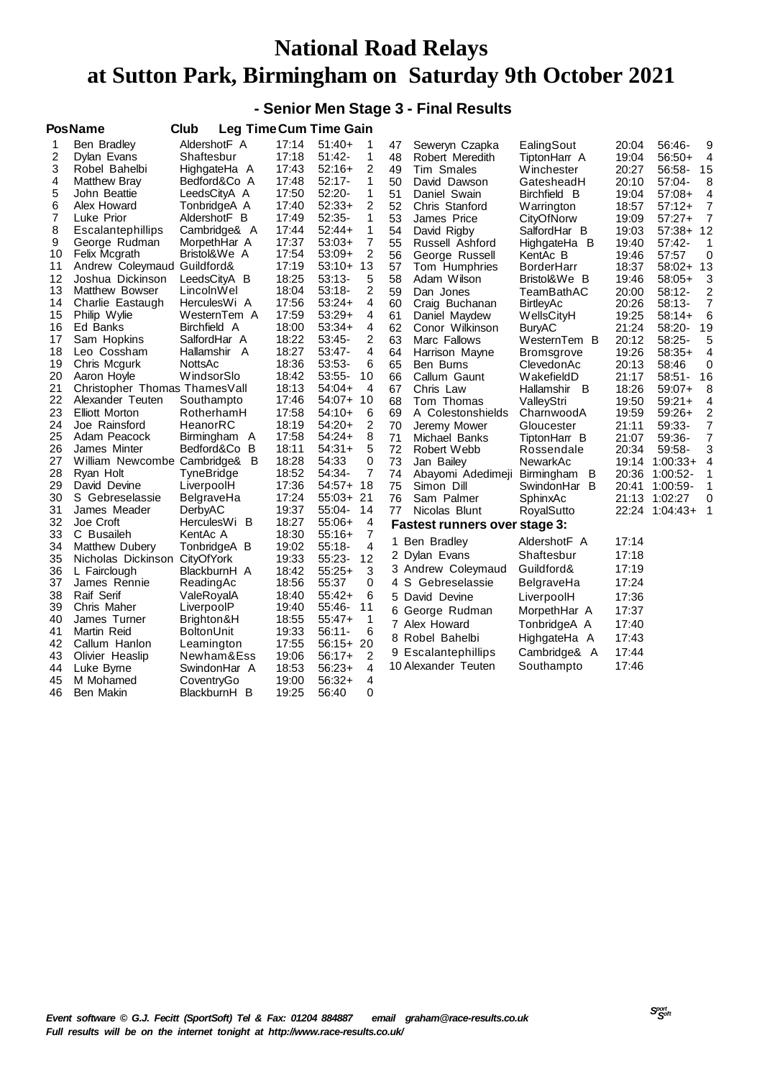#### **- Senior Men Stage 3 - Final Results**

**PosName Club Leg TimeCum Time Gain**

| נט ו           |                                | டசு<br>סווווי     | um    | ט טוווי   |                |    |                                      |                   |       |            |                |
|----------------|--------------------------------|-------------------|-------|-----------|----------------|----|--------------------------------------|-------------------|-------|------------|----------------|
| 1              | Ben Bradley                    | AldershotF A      | 17:14 | $51:40+$  | 1              | 47 | Seweryn Czapka                       | EalingSout        | 20:04 | 56:46-     | 9              |
| 2              | Dylan Evans                    | Shaftesbur        | 17:18 | $51:42-$  | 1              | 48 | Robert Meredith                      | TiptonHarr A      | 19:04 | $56:50+$   | 4              |
| 3              | Robel Bahelbi                  | HighgateHa A      | 17:43 | $52:16+$  | 2              | 49 | Tim Smales                           | <b>Winchester</b> | 20:27 | 56:58-     | 15             |
| 4              | Matthew Bray                   | Bedford&Co A      | 17:48 | $52:17-$  | 1              | 50 | David Dawson                         | GatesheadH        | 20:10 | 57:04-     | 8              |
| 5              | John Beattie                   | LeedsCityA A      | 17:50 | $52:20-$  | 1              | 51 | Daniel Swain                         | Birchfield B      | 19:04 | $57:08+$   | 4              |
| 6              | Alex Howard                    | TonbridgeA A      | 17:40 | $52:33+$  | 2              | 52 | Chris Stanford                       | Warrington        | 18:57 | $57:12+$   | $\overline{7}$ |
| $\overline{7}$ | Luke Prior                     | AldershotF B      | 17:49 | $52:35-$  | 1              | 53 | James Price                          | CityOfNorw        | 19:09 | $57:27+$   | $\overline{7}$ |
| 8              | Escalantephillips              | Cambridge& A      | 17:44 | $52:44+$  | 1              | 54 | David Rigby                          | SalfordHar B      | 19:03 | $57:38+$   | 12             |
| 9              | George Rudman                  | MorpethHar A      | 17:37 | $53:03+$  | $\overline{7}$ | 55 | Russell Ashford                      | HighgateHa B      | 19:40 | 57:42-     | 1              |
| 10             | <b>Felix Mcgrath</b>           | Bristol&We A      | 17:54 | $53:09+$  | 2              | 56 | George Russell                       | KentAc B          | 19:46 | 57:57      | $\mathbf 0$    |
| 11             | Andrew Coleymaud               | Guildford&        | 17:19 | $53:10+$  | 13             | 57 | Tom Humphries                        | BorderHarr        | 18:37 | $58:02+$   | 13             |
| 12             | Joshua Dickinson               | LeedsCityA B      | 18:25 | $53:13-$  | 5              | 58 | Adam Wilson                          | Bristol&We B      | 19:46 | $58:05+$   | 3              |
| 13             | Matthew Bowser                 | LincolnWel        | 18:04 | $53:18-$  | 2              | 59 | Dan Jones                            | TeamBathAC        | 20:00 | $58:12-$   | 2              |
| 14             | Charlie Eastaugh               | HerculesWi A      | 17:56 | $53:24+$  | 4              | 60 | Craig Buchanan                       | <b>BirtleyAc</b>  | 20:26 | $58:13-$   | 7              |
| 15             | Philip Wylie                   | WesternTem A      | 17:59 | $53:29+$  | 4              | 61 | Daniel Maydew                        | WellsCityH        | 19:25 | $58:14+$   | 6              |
| 16             | Ed Banks                       | Birchfield A      | 18:00 | $53:34+$  | 4              | 62 | Conor Wilkinson                      | <b>BuryAC</b>     | 21:24 | 58:20-     | 19             |
| 17             | Sam Hopkins                    | SalfordHar A      | 18:22 | $53:45-$  | 2              | 63 | Marc Fallows                         | WesternTem B      | 20:12 | $58:25-$   | 5              |
| 18             | Leo Cossham                    | Hallamshir A      | 18:27 | 53:47-    | 4              | 64 | Harrison Mayne                       | Bromsgrove        | 19:26 | $58:35+$   | 4              |
| 19             | Chris Mcgurk                   | NottsAc           | 18:36 | 53:53-    | 6              | 65 | Ben Burns                            | ClevedonAc        | 20:13 | 58:46      | $\mathbf 0$    |
| 20             | Aaron Hoyle                    | <b>WindsorSlo</b> | 18:42 | $53:55-$  | 10             | 66 | Callum Gaunt                         | WakefieldD        | 21:17 | $58:51 -$  | 16             |
| 21             | Christopher Thomas Thames Vall |                   | 18:13 | $54:04+$  | 4              | 67 | Chris Law                            | Hallamshir B      | 18:26 | $59:07+$   | 8              |
| 22             | Alexander Teuten               | Southampto        | 17:46 | $54:07+$  | 10             | 68 | Tom Thomas                           | ValleyStri        | 19:50 | $59:21+$   | 4              |
| 23             | <b>Elliott Morton</b>          | RotherhamH        | 17:58 | $54:10+$  | 6              | 69 | A Colestonshields                    | CharnwoodA        | 19:59 | $59:26+$   | $\overline{2}$ |
| 24             | Joe Rainsford                  | HeanorRC          | 18:19 | $54:20+$  | 2              | 70 | Jeremy Mower                         | Gloucester        | 21:11 | 59:33-     | $\overline{7}$ |
| 25             | Adam Peacock                   | Birmingham<br>A   | 17:58 | $54:24+$  | 8              | 71 | Michael Banks                        | TiptonHarr B      | 21:07 | 59:36-     | 7              |
| 26             | James Minter                   | Bedford&Co<br>B   | 18:11 | $54:31+$  | 5              | 72 | Robert Webb                          | Rossendale        | 20:34 | 59:58-     | 3              |
| 27             | William Newcombe Cambridge& B  |                   | 18:28 | 54:33     | 0              | 73 | Jan Bailey                           | NewarkAc          | 19:14 | $1:00:33+$ | 4              |
| 28             | Ryan Holt                      | TyneBridge        | 18:52 | 54:34-    | 7              | 74 | Abayomi Adedimeji                    | B<br>Birmingham   | 20:36 | $1:00:52-$ | 1              |
| 29             | David Devine                   | LiverpoolH        | 17:36 | $54:57+$  | 18             | 75 | Simon Dill                           | SwindonHar B      | 20:41 | 1:00:59-   | 1              |
| 30             | S Gebreselassie                | BelgraveHa        | 17:24 | $55:03+$  | 21             | 76 | Sam Palmer                           | SphinxAc          | 21:13 | 1:02:27    | 0              |
| 31             | James Meader                   | DerbyAC           | 19:37 | 55:04-    | 14             | 77 | Nicolas Blunt                        | RoyalSutto        | 22:24 | $1:04:43+$ | 1              |
| 32             | Joe Croft                      | HerculesWi B      | 18:27 | $55:06+$  | 4              |    | <b>Fastest runners over stage 3:</b> |                   |       |            |                |
| 33             | C Busaileh                     | KentAc A          | 18:30 | $55:16+$  | 7              |    | 1 Ben Bradley                        | AldershotF A      | 17:14 |            |                |
| 34             | <b>Matthew Dubery</b>          | TonbridgeA B      | 19:02 | $55:18-$  | 4              |    | 2 Dylan Evans                        | Shaftesbur        | 17:18 |            |                |
| 35             | Nicholas Dickinson             | CityOfYork        | 19:33 | $55:23-$  | 12             |    |                                      |                   |       |            |                |
| 36             | L Fairclough                   | BlackburnH A      | 18:42 | $55:25+$  | 3              |    | 3 Andrew Coleymaud                   | Guildford&        | 17:19 |            |                |
| 37             | James Rennie                   | ReadingAc         | 18:56 | 55:37     | 0              |    | 4 S Gebreselassie                    | BelgraveHa        | 17:24 |            |                |
| 38             | Raif Serif                     | ValeRoyalA        | 18:40 | $55:42+$  | 6              |    | 5 David Devine                       | LiverpoolH        | 17:36 |            |                |
| 39             | Chris Maher                    | LiverpoolP        | 19:40 | 55:46-    | 11             |    | 6 George Rudman                      | MorpethHar A      | 17:37 |            |                |
| 40             | James Turner                   | Brighton&H        | 18:55 | $55:47+$  | 1              |    | 7 Alex Howard                        | TonbridgeA A      | 17:40 |            |                |
| 41             | Martin Reid                    | <b>BoltonUnit</b> | 19:33 | $56:11 -$ | 6              |    | 8 Robel Bahelbi                      | HighgateHa A      | 17:43 |            |                |
| 42             | Callum Hanlon                  | Leamington        | 17:55 | $56:15+$  | 20             |    | 9 Escalantephillips                  | Cambridge& A      | 17:44 |            |                |
| 43             | Olivier Heaslip                | Newham&Ess        | 19:06 | $56:17+$  | 2              |    | 10 Alexander Teuten                  | Southampto        | 17:46 |            |                |
| 44             | Luke Byrne                     | SwindonHar A      | 18:53 | $56:23+$  | 4              |    |                                      |                   |       |            |                |
| 45             | M Mohamed                      | CoventryGo        | 19:00 | $56:32+$  | 4              |    |                                      |                   |       |            |                |
| 46             | Ben Makin                      | BlackburnH B      | 19:25 | 56:40     | 0              |    |                                      |                   |       |            |                |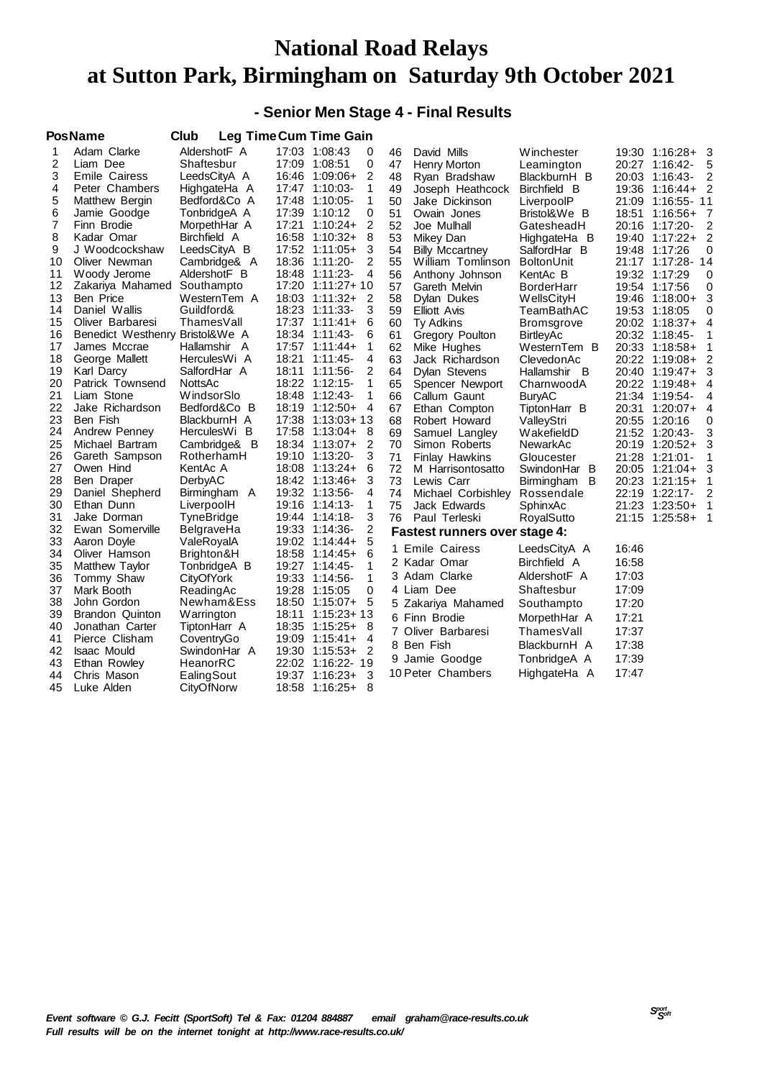### **- Senior Men Stage 4 - Final Results**

|          | <b>PosName</b>                  | Club                     |                | Leg Time Cum Time Gain           |    |                                      |                   |       |                   |                         |
|----------|---------------------------------|--------------------------|----------------|----------------------------------|----|--------------------------------------|-------------------|-------|-------------------|-------------------------|
| 1        | Adam Clarke                     | AldershotF A             |                | 17:03 1:08:43<br>0               | 46 | David Mills                          | Winchester        |       | 19:30 1:16:28+    | $\overline{\mathbf{3}}$ |
| 2        | Liam Dee                        | Shaftesbur               |                | 0<br>17:09 1:08:51               | 47 | <b>Henry Morton</b>                  | Leamington        |       | 20:27 1:16:42-    | 5                       |
| 3        | <b>Emile Cairess</b>            | LeedsCityA A             | 16:46          | 2<br>1:09:06+                    | 48 | Ryan Bradshaw                        | BlackburnH B      |       | 20:03 1:16:43-    | 2                       |
| 4        | Peter Chambers                  | HighgateHa A             |                | 1<br>17:47 1:10:03-              | 49 | Joseph Heathcock                     | Birchfield B      | 19:36 | $1:16:44+2$       |                         |
| 5        | Matthew Bergin                  | Bedford&Co A             |                | 1<br>17:48 1:10:05-              | 50 | Jake Dickinson                       | LiverpoolP        | 21:09 | 1:16:55-11        |                         |
| 6        | Jamie Goodge                    | TonbridgeA A             | 17:39          | 0<br>1:10:12                     | 51 | Owain Jones                          | Bristol&We B      | 18:51 | 1:16:56+          | - 7                     |
| 7        | Finn Brodie                     | MorpethHar A             | 17:21          | 2<br>$1:10:24+$                  | 52 | Joe Mulhall                          | GatesheadH        |       | 20:16 1:17:20-    | 2                       |
| 8        | Kadar Omar                      | Birchfield A             | 16:58          | 8<br>$1:10:32+$                  | 53 | Mikey Dan                            | HighgateHa B      |       | 19:40 1:17:22+    | $\overline{2}$          |
| 9        | J Woodcockshaw                  | LeedsCityA B             |                | 17:52 1:11:05+<br>3              | 54 | <b>Billy Mccartney</b>               | SalfordHar B      | 19:48 | 1:17:26           | 0                       |
| 10       | Oliver Newman                   | Cambridge& A             | 18:36          | 2<br>1:11:20-                    | 55 | William Tomlinson                    | BoltonUnit        |       | 21:17 1:17:28- 14 |                         |
| 11       | Woody Jerome                    | AldershotF B             | 18:48          | 1:11:23-<br>4                    | 56 | Anthony Johnson                      | KentAc B          |       | 19:32 1:17:29     | 0                       |
| 12       | Zakariya Mahamed                | Southampto               |                | 17:20 1:11:27+10                 | 57 | Gareth Melvin                        | <b>BorderHarr</b> |       | 19:54 1:17:56     | 0                       |
| 13       | <b>Ben Price</b>                | WesternTem A             | 18:03          | $1:11:32+$<br>2                  | 58 | Dylan Dukes                          | WellsCityH        | 19:46 | $1:18:00+$        | 3                       |
| 14       | Daniel Wallis                   | Guildford&               | 18:23          | 1:11:33-<br>3                    | 59 | <b>Elliott Avis</b>                  | TeamBathAC        |       | 19:53 1:18:05     | 0                       |
| 15       | Oliver Barbaresi                | ThamesVall               |                | $17:37$ $1:11:41+$<br>6          | 60 | Ty Adkins                            | <b>Bromsgrove</b> |       | 20:02 1:18:37+    | 4                       |
| 16       | Benedict Westhenry Bristol&We A |                          | 18:34          | 1:11:43-<br>6                    | 61 | Gregory Poulton                      | <b>BirtleyAc</b>  |       | 20:32 1:18:45-    | 1                       |
| 17       | James Mccrae                    | Hallamshir A             |                | 17:57 1:11:44+<br>1              | 62 | Mike Hughes                          | WesternTem B      |       | 20:33 1:18:58+    | 1                       |
| 18       | George Mallett                  | HerculesWi A             | 18:21          | $1:11:45-$<br>4                  | 63 | Jack Richardson                      | ClevedonAc        |       | 20:22 1:19:08+    | 2                       |
| 19       | Karl Darcy                      | SalfordHar A             | 18:11          | 2<br>$1:11:56-$                  | 64 | Dylan Stevens                        | Hallamshir B      | 20:40 | 1:19:47+          | 3                       |
| 20       | Patrick Townsend                | NottsAc                  | 18:22          | $1:12:15$ -<br>1                 | 65 | Spencer Newport                      | CharnwoodA        |       | 20:22 1:19:48+    | 4                       |
| 21       | Liam Stone                      | WindsorSlo               | 18:48          | 1<br>$1:12:43-$                  | 66 | Callum Gaunt                         | <b>BuryAC</b>     |       | 21:34 1:19:54-    | 4                       |
| 22       | Jake Richardson                 | Bedford&Co B             |                | 18:19 1:12:50+<br>$\overline{4}$ | 67 | Ethan Compton                        | TiptonHarr B      | 20:31 | $1:20:07+$        | $\overline{4}$          |
| 23       | Ben Fish                        | BlackburnH A             | 17:38          | $1:13:03+13$                     | 68 | Robert Howard                        | ValleyStri        |       | 20:55 1:20:16     | 0                       |
| 24       | Andrew Penney                   | HerculesWi B             | 17:58          | 8<br>$1:13:04+$                  | 69 | Samuel Langley                       | WakefieldD        |       | 21:52 1:20:43-    | 3                       |
| 25       | Michael Bartram                 | Cambridge& B             |                | 18:34 1:13:07+<br>2              | 70 | Simon Roberts                        | NewarkAc          |       | 20:19 1:20:52+    | 3                       |
| 26       | Gareth Sampson                  | RotherhamH               |                | 3<br>19:10 1:13:20-              | 71 | <b>Finlay Hawkins</b>                | Gloucester        |       | 21:28 1:21:01-    | 1                       |
| 27       | Owen Hind                       | KentAc A                 |                | 18:08 1:13:24+<br>6              | 72 | M Harrisontosatto                    | SwindonHar B      |       | 20:05 1:21:04+    | 3                       |
| 28       | Ben Draper                      | DerbyAC                  | 18:42          | 3<br>1:13:46+                    | 73 | Lewis Carr                           | В<br>Birmingham   |       | 20:23 1:21:15+    | 1                       |
| 29       | Daniel Shepherd                 | Birmingham A             | 19:32          | 1:13:56-<br>4                    | 74 | Michael Corbishley                   | Rossendale        |       | 22:19 1:22:17-    | 2                       |
| 30       | Ethan Dunn                      | LiverpoolH               |                | 1<br>19:16 1:14:13-<br>3         | 75 | Jack Edwards                         | SphinxAc          |       | 21:23 1:23:50+    | -1                      |
| 31<br>32 | Jake Dorman                     | <b>TyneBridge</b>        |                | 19:44 1:14:18-<br>2<br>1:14:36-  | 76 | Paul Terleski                        | RoyalSutto        |       | 21:15 1:25:58+    | 1                       |
| 33       | Ewan Somerville<br>Aaron Doyle  | BelgraveHa<br>ValeRoyalA | 19:33<br>19:02 | 5<br>1:14:44+                    |    | <b>Fastest runners over stage 4:</b> |                   |       |                   |                         |
| 34       | Oliver Hamson                   | Brighton&H               | 18:58          | 6<br>$1:14:45+$                  |    | 1 Emile Cairess                      | LeedsCityA A      | 16:46 |                   |                         |
| 35       | Matthew Taylor                  | TonbridgeA B             |                | 19:27 1:14:45-<br>1              |    | 2 Kadar Omar                         | Birchfield A      | 16:58 |                   |                         |
| 36       | Tommy Shaw                      | CityOfYork               | 19:33          | 1:14:56-<br>1                    |    | 3 Adam Clarke                        | AldershotF A      | 17:03 |                   |                         |
| 37       | Mark Booth                      | ReadingAc                | 19:28          | 0<br>1:15:05                     |    | 4 Liam Dee                           | Shaftesbur        | 17:09 |                   |                         |
| 38       | John Gordon                     | Newham&Ess               | 18:50          | 5<br>1:15:07+                    |    | 5 Zakariya Mahamed                   |                   | 17:20 |                   |                         |
| 39       | Brandon Quinton                 | Warrington               | 18:11          | $1:15:23+13$                     |    |                                      | Southampto        |       |                   |                         |
| 40       | Jonathan Carter                 | TiptonHarr A             | 18:35          | $1:15:25+$<br>8                  |    | 6 Finn Brodie                        | MorpethHar A      | 17:21 |                   |                         |
| 41       | Pierce Clisham                  | CoventryGo               | 19:09          | $1:15:41+$<br>4                  |    | 7 Oliver Barbaresi                   | ThamesVall        | 17:37 |                   |                         |
| 42       | <b>Isaac Mould</b>              | SwindonHar A             | 19:30          | $\overline{2}$<br>$1:15:53+$     |    | 8 Ben Fish                           | BlackburnH A      | 17:38 |                   |                         |
| 43       | Ethan Rowley                    | HeanorRC                 |                | 22:02 1:16:22- 19                |    | 9 Jamie Goodge                       | TonbridgeA A      | 17:39 |                   |                         |
| 44       | Chris Mason                     | EalingSout               | 19:37          | 3<br>$1:16:23+$                  |    | 10 Peter Chambers                    | HighgateHa A      | 17:47 |                   |                         |
| 45       | Luke Alden                      | CityOfNorw               |                | 18:58 1:16:25+<br>-8             |    |                                      |                   |       |                   |                         |
|          |                                 |                          |                |                                  |    |                                      |                   |       |                   |                         |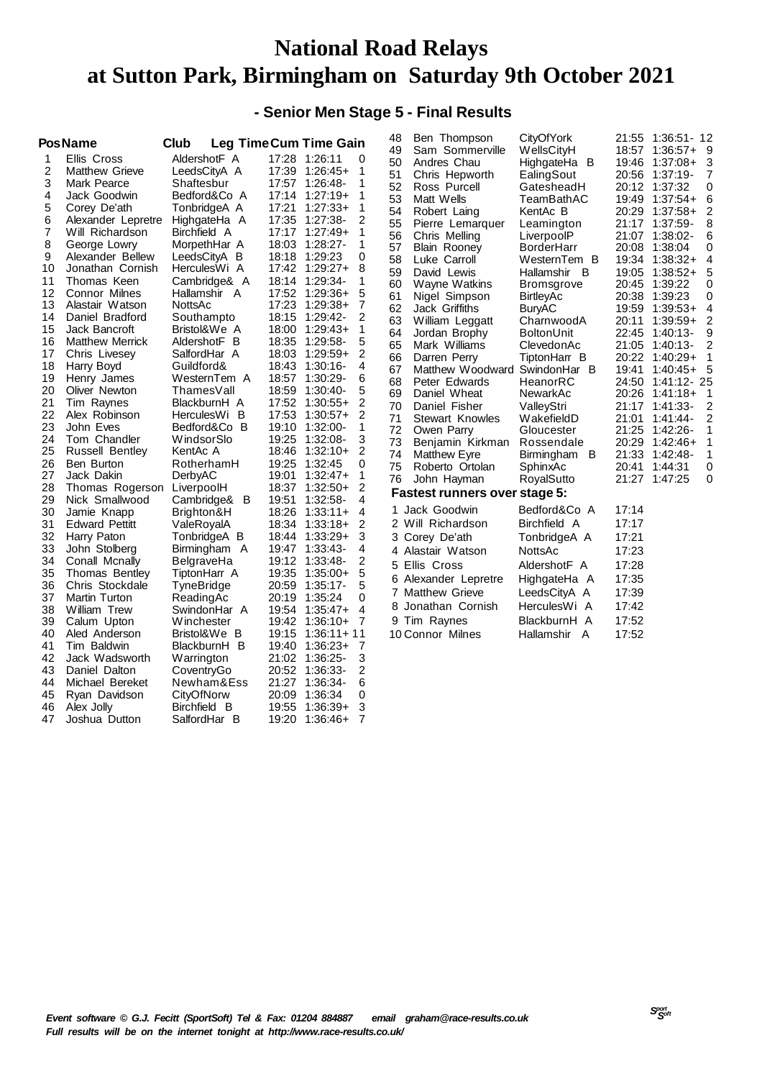### **- Senior Men Stage 5 - Final Results**

|                                                                                                                                           | <b>PosName</b>                                                                                                                                                                                                                                                                                                                                                                                                                                             | Club                                                                                                                                                                                                                                                                                                                                                                                      | <b>Leg Time Cum Time Gain</b>                                                                                                                                                                                                                                                                                                                                                                                                                                                                                                                                                                                      | 48<br>Ben Thompson                                                                                                                                                                                                                                                                                                                                                                                                                                                                                                                                                                                                                                          | CityOfYork                                                                                                                                                                                                                                                                                                                                                                                   | 21:55<br>1:36:51-12                                                                                                                                                                                                                                                                                                                                                                                                                                                                                                                                                                                                                                                                                                                                |
|-------------------------------------------------------------------------------------------------------------------------------------------|------------------------------------------------------------------------------------------------------------------------------------------------------------------------------------------------------------------------------------------------------------------------------------------------------------------------------------------------------------------------------------------------------------------------------------------------------------|-------------------------------------------------------------------------------------------------------------------------------------------------------------------------------------------------------------------------------------------------------------------------------------------------------------------------------------------------------------------------------------------|--------------------------------------------------------------------------------------------------------------------------------------------------------------------------------------------------------------------------------------------------------------------------------------------------------------------------------------------------------------------------------------------------------------------------------------------------------------------------------------------------------------------------------------------------------------------------------------------------------------------|-------------------------------------------------------------------------------------------------------------------------------------------------------------------------------------------------------------------------------------------------------------------------------------------------------------------------------------------------------------------------------------------------------------------------------------------------------------------------------------------------------------------------------------------------------------------------------------------------------------------------------------------------------------|----------------------------------------------------------------------------------------------------------------------------------------------------------------------------------------------------------------------------------------------------------------------------------------------------------------------------------------------------------------------------------------------|----------------------------------------------------------------------------------------------------------------------------------------------------------------------------------------------------------------------------------------------------------------------------------------------------------------------------------------------------------------------------------------------------------------------------------------------------------------------------------------------------------------------------------------------------------------------------------------------------------------------------------------------------------------------------------------------------------------------------------------------------|
| 1<br>2<br>3<br>4<br>5<br>6<br>7<br>8<br>9<br>10<br>11<br>12<br>13<br>14<br>15<br>16<br>17<br>18<br>19<br>20<br>21<br>22<br>23<br>24<br>25 | Ellis Cross<br>Matthew Grieve<br>Mark Pearce<br>Jack Goodwin<br>Corey De'ath<br>Alexander Lepretre<br>Will Richardson<br>George Lowry<br>Alexander Bellew<br>Jonathan Cornish<br>Thomas Keen<br><b>Connor Milnes</b><br>Alastair Watson<br>Daniel Bradford<br>Jack Bancroft<br><b>Matthew Merrick</b><br>Chris Livesey<br>Harry Boyd<br>Henry James<br>Oliver Newton<br>Tim Raynes<br>Alex Robinson<br>John Eves<br>Tom Chandler<br><b>Russell Bentley</b> | AldershotF A<br>LeedsCityA A<br>Shaftesbur<br>Bedford&Co A<br>TonbridgeA A<br>HighgateHa A<br>Birchfield A<br>MorpethHar A<br>LeedsCityA B<br>HerculesWi A<br>Cambridge& A<br>Hallamshir A<br>NottsAc<br>Southampto<br>Bristol&We A<br>AldershotF B<br>SalfordHar A<br>Guildford&<br>WesternTem A<br>ThamesVall<br>BlackburnH A<br>HerculesWi B<br>Bedford&Co B<br>WindsorSlo<br>KentAc A | 17:28 1:26:11<br>0<br>17:39 1:26:45+<br>1<br>17:57 1:26:48-<br>1<br>17:14 1:27:19+<br>1<br>17:21 1:27:33+<br>1<br>2<br>17:35<br>1:27:38-<br>17:17 1:27:49+<br>1<br>18:03<br>1:28:27-<br>1<br>18:18 1:29:23<br>0<br>17:42 1:29:27+<br>8<br>18:14 1:29:34-<br>1<br>17:52 1:29:36+<br>5<br>17:23 1:29:38+<br>7<br>18:15 1:29:42-<br>2<br>18:00 1:29:43+<br>1<br>5<br>18:35 1:29:58-<br>18:03 1:29:59+<br>2<br>18:43 1:30:16-<br>4<br>18:57 1:30:29-<br>6<br>18:59<br>5<br>1:30:40-<br>$\overline{2}$<br>17:52 1:30:55+<br>17:53 1:30:57+<br>2<br>19:10 1:32:00-<br>1<br>19:25 1:32:08-<br>3<br>18:46<br>1:32:10+<br>2 | Sam Sommerville<br>49<br>50<br>Andres Chau<br>51<br>Chris Hepworth<br>52<br>Ross Purcell<br>53<br>Matt Wells<br>54<br>Robert Laing<br>55<br>Pierre Lemarquer<br>56<br>Chris Melling<br>57<br><b>Blain Rooney</b><br>58<br>Luke Carroll<br>59<br>David Lewis<br>60<br>Wayne Watkins<br>61<br>Nigel Simpson<br>62<br>Jack Griffiths<br>63<br>William Leggatt<br>64<br>Jordan Brophy<br>65<br>Mark Williams<br>66<br>Darren Perry<br>67<br>Matthew Woodward SwindonHar B<br>68<br><b>Peter Edwards</b><br>69<br>Daniel Wheat<br>70<br>Daniel Fisher<br>71<br><b>Stewart Knowles</b><br>72<br>Owen Parry<br>73<br>Benjamin Kirkman<br>74<br><b>Matthew Eyre</b> | WellsCityH<br>HighgateHa B<br>EalingSout<br>GatesheadH<br>TeamBathAC<br>KentAc B<br>Leamington<br>LiverpoolP<br><b>BorderHarr</b><br>WesternTem B<br>Hallamshir B<br><b>Bromsgrove</b><br><b>BirtleyAc</b><br><b>BuryAC</b><br>CharnwoodA<br><b>BoltonUnit</b><br>ClevedonAc<br>TiptonHarr B<br>HeanorRC<br>NewarkAc<br>ValleyStri<br>WakefieldD<br>Gloucester<br>Rossendale<br>Birmingham B | 18:57<br>$1:36:57+$<br>- 9<br>3<br>19:46<br>$1:37:08+$<br>20:56<br>$1:37:19-$<br>7<br>1:37:32<br>0<br>20:12<br>19:49<br>$1:37:54+$<br>6<br>2<br>20:29<br>$1:37:58+$<br>21:17 1:37:59-<br>8<br>21:07<br>1:38:02-<br>6<br>20:08<br>1:38:04<br>0<br>19:34<br>$1:38:32+$<br>$\overline{4}$<br>$1:38:52+$<br>19:05<br>5<br>20:45<br>1:39:22<br>0<br>20:38<br>1:39:23<br>0<br>19:59<br>$1:39:53+$<br>$\overline{4}$<br>20:11<br>$1:39:59+$<br>2<br>22:45<br>$1:40:13-$<br>9<br>21:05<br>$1:40:13-$<br>2<br>20:22<br>$1:40:29+$<br>1<br>19:41<br>$1:40:45+5$<br>24:50<br>1:41:12-25<br>20:26<br>$1:41:18+$<br>1<br>2<br>21:17<br>$1:41:33-$<br>21:01<br>$1:41:44-$<br>2<br>21:25<br>1:42:26-<br>1<br>20:29<br>$1:42:46+$<br>1<br>21:33<br>$1:42:48-$<br>1 |
| 26<br>27<br>28                                                                                                                            | Ben Burton<br>Jack Dakin<br>Thomas Rogerson                                                                                                                                                                                                                                                                                                                                                                                                                | RotherhamH<br>DerbyAC<br>LiverpoolH                                                                                                                                                                                                                                                                                                                                                       | 19:25 1:32:45<br>0<br>19:01<br>$1:32:47+$<br>1<br>2<br>18:37 1:32:50+                                                                                                                                                                                                                                                                                                                                                                                                                                                                                                                                              | 75<br>Roberto Ortolan<br>76<br>John Hayman                                                                                                                                                                                                                                                                                                                                                                                                                                                                                                                                                                                                                  | SphinxAc<br>RoyalSutto                                                                                                                                                                                                                                                                                                                                                                       | 1:44:31<br>20:41<br>0<br>21:27<br>0<br>1:47:25                                                                                                                                                                                                                                                                                                                                                                                                                                                                                                                                                                                                                                                                                                     |
| 29                                                                                                                                        | Nick Smallwood                                                                                                                                                                                                                                                                                                                                                                                                                                             | Cambridge& B                                                                                                                                                                                                                                                                                                                                                                              | 19:51<br>1:32:58-<br>4                                                                                                                                                                                                                                                                                                                                                                                                                                                                                                                                                                                             | <b>Fastest runners over stage 5:</b>                                                                                                                                                                                                                                                                                                                                                                                                                                                                                                                                                                                                                        |                                                                                                                                                                                                                                                                                                                                                                                              |                                                                                                                                                                                                                                                                                                                                                                                                                                                                                                                                                                                                                                                                                                                                                    |
| 30<br>31<br>32<br>33<br>34<br>35<br>36<br>37<br>38<br>39<br>40<br>41<br>42<br>43<br>44<br>45<br>46<br>47                                  | Jamie Knapp<br><b>Edward Pettitt</b><br>Harry Paton<br>John Stolberg<br>Conall Mcnally<br>Thomas Bentley<br>Chris Stockdale<br>Martin Turton<br>William Trew<br>Calum Upton<br>Aled Anderson<br>Tim Baldwin<br>Jack Wadsworth<br>Daniel Dalton<br>Michael Bereket<br>Ryan Davidson<br>Alex Jolly<br>Joshua Dutton                                                                                                                                          | Brighton&H<br>ValeRovalA<br>TonbridgeA B<br>Birmingham A<br>BelgraveHa<br>TiptonHarr A<br>TyneBridge<br>ReadingAc<br>SwindonHar A<br>Winchester<br>Bristol&We B<br>BlackburnH B<br>Warrington<br>CoventryGo<br>Newham&Ess<br>CityOfNorw<br>Birchfield B<br>SalfordHar B                                                                                                                   | 18:26 1:33:11+<br>4<br>18:34 1:33:18+<br>2<br>18:44 1:33:29+<br>3<br>19:47 1:33:43-<br>4<br>2<br>19:12 1:33:48-<br>5<br>19:35<br>1:35:00+<br>5<br>20:59<br>$1:35:17-$<br>20:19<br>0<br>1:35:24<br>19:54<br>$1:35:47+$<br>4<br>19:42<br>$1:36:10+$<br>-7<br>$19:15$ $1:36:11+11$<br>19:40<br>$1:36:23+$<br>7<br>3<br>21:02<br>$1:36:25-$<br>2<br>20:52<br>$1:36:33-$<br>21:27 1:36:34-<br>6<br>20:09<br>1:36:34<br>0<br>3<br>19:55<br>$1:36:39+$<br>19:20<br>$1:36:46+$<br>7                                                                                                                                        | Jack Goodwin<br>1<br>2 Will Richardson<br>3 Corey De'ath<br>4 Alastair Watson<br>5 Ellis Cross<br>Alexander Lepretre<br>6<br><b>Matthew Grieve</b><br>7<br>Jonathan Cornish<br>8<br>9 Tim Raynes<br>10 Connor Milnes                                                                                                                                                                                                                                                                                                                                                                                                                                        | Bedford&Co A<br>Birchfield A<br>TonbridgeA A<br>NottsAc<br>AldershotF A<br>HighgateHa A<br>LeedsCityA A<br>HerculesWi A<br>BlackburnH A<br>Hallamshir A                                                                                                                                                                                                                                      | 17:14<br>17:17<br>17:21<br>17:23<br>17:28<br>17:35<br>17:39<br>17:42<br>17:52<br>17:52                                                                                                                                                                                                                                                                                                                                                                                                                                                                                                                                                                                                                                                             |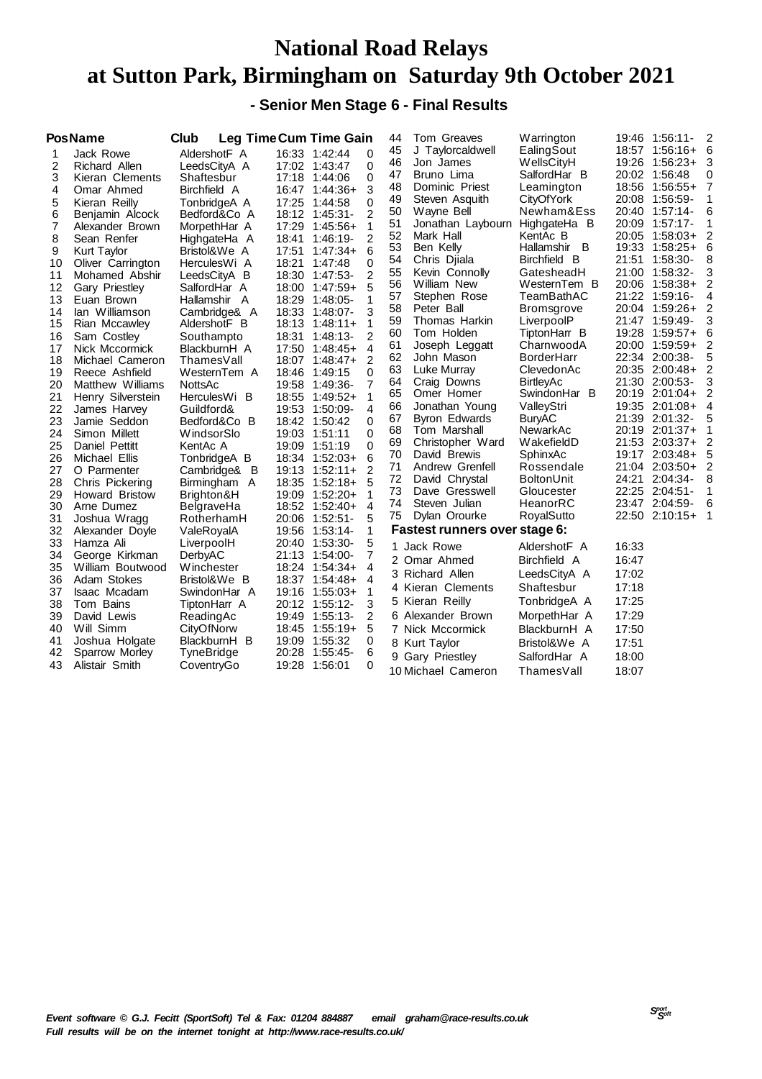#### **- Senior Men Stage 6 - Final Results**

|    | <b>PosName</b>        | Club         | <b>Leg TimeCum Time Gain</b> |                | 44                   | Tom Greaves                   | Warrington        | 19:46 | 1:56:11-       | 2                        |
|----|-----------------------|--------------|------------------------------|----------------|----------------------|-------------------------------|-------------------|-------|----------------|--------------------------|
|    | Jack Rowe             | AldershotF A | 16:33 1:42:44                | 0              | 45                   | J Taylorcaldwell              | EalingSout        |       | 18:57 1:56:16+ | - 6                      |
| 2  | Richard Allen         | LeedsCityA A | 17:02 1:43:47                | 0              | 46                   | Jon James                     | WellsCityH        |       | 19:26 1:56:23+ | 3                        |
| 3  | Kieran Clements       | Shaftesbur   | 17:18 1:44:06                |                | 47<br>0              | Bruno Lima                    | SalfordHar B      |       | 20:02 1:56:48  | 0                        |
| 4  | Omar Ahmed            | Birchfield A | 16:47 1:44:36+               | 3              | 48                   | Dominic Priest                | Leamington        |       | 18:56 1:56:55+ | -7                       |
| 5  | Kieran Reilly         | TonbridgeA A | 17:25<br>1:44:58             |                | 49<br>0              | Steven Asquith                | CityOfYork        | 20:08 | 1:56:59-       |                          |
| 6  | Benjamin Alcock       | Bedford&Co A | 18:12 1:45:31-               |                | 50<br>$\overline{2}$ | Wayne Bell                    | Newham&Ess        | 20:40 | $1:57:14-$     | 6                        |
| 7  | Alexander Brown       | MorpethHar A | 17:29<br>1:45:56+            | 1              | 51                   | Jonathan Laybourn             | HighgateHa B      |       | 20:09 1:57:17- | 1                        |
| 8  | Sean Renfer           | HighgateHa A | 18:41<br>$1:46:19-$          |                | 52<br>2              | Mark Hall                     | KentAc B          | 20:05 | 1:58:03+       | 2                        |
| 9  | Kurt Taylor           | Bristol&We A | 17:51<br>$1:47:34+$          | 6              | 53                   | Ben Kelly                     | Hallamshir B      | 19:33 | $1:58:25+$     | 6                        |
| 10 | Oliver Carrington     | HerculesWi A | 18:21<br>1:47:48             | 0              | 54                   | Chris Djiala                  | Birchfield B      | 21:51 | 1:58:30-       | 8                        |
| 11 | Mohamed Abshir        | LeedsCityA B | 18:30<br>1:47:53-            |                | 55<br>2              | Kevin Connolly                | GatesheadH        | 21:00 | 1:58:32-       | 3                        |
| 12 | Gary Priestley        | SalfordHar A | 18:00<br>$1:47:59+$          | 5              | 56                   | William New                   | WesternTem B      | 20:06 | $1:58:38+$     | 2                        |
| 13 | Euan Brown            | Hallamshir A | 18:29<br>1:48:05-            | 1              | 57                   | Stephen Rose                  | TeamBathAC        |       | 21:22 1:59:16- | 4                        |
| 14 | lan Williamson        | Cambridge& A | 18:33<br>1:48:07-            |                | 58<br>3              | Peter Ball                    | <b>Bromsgrove</b> | 20:04 | 1:59:26+       | 2                        |
| 15 | Rian Mccawley         | AldershotF B | 18:13<br>$1:48:11+$          | 1              | 59                   | Thomas Harkin                 | LiverpoolP        | 21:47 | 1:59:49-       | 3                        |
| 16 | Sam Costley           | Southampto   | 18:31<br>1:48:13-            |                | 60<br>$\overline{2}$ | Tom Holden                    | TiptonHarr B      | 19:28 | $1:59:57+$     | 6                        |
| 17 | Nick Mccormick        | BlackburnH A | 17:50<br>$1:48:45+$          | 4              | 61                   | Joseph Leggatt                | CharnwoodA        | 20:00 | 1:59:59+       | 2                        |
| 18 | Michael Cameron       | ThamesVall   | 18:07 1:48:47+               | $\overline{2}$ | 62                   | John Mason                    | <b>BorderHarr</b> |       | 22:34 2:00:38- | 5                        |
| 19 | Reece Ashfield        | WesternTem A | 18:46<br>1:49:15             | 0              | 63                   | Luke Murray                   | ClevedonAc        |       | 20:35 2:00:48+ | 2                        |
| 20 | Matthew Williams      | NottsAc      | 19:58<br>1:49:36-            |                | 64<br>7              | Craig Downs                   | <b>BirtleyAc</b>  |       | 21:30 2:00:53- |                          |
| 21 | Henry Silverstein     | HerculesWi B | 18:55<br>$1:49:52+$          | 1              | 65                   | Omer Homer                    | SwindonHar B      |       | 20:19 2:01:04+ | 2                        |
| 22 | James Harvey          | Guildford&   | 19:53<br>1:50:09-            |                | 66<br>4              | Jonathan Young                | ValleyStri        |       | 19:35 2:01:08+ | 4                        |
| 23 | Jamie Seddon          | Bedford&Co B | 18:42<br>1:50:42             | $\Omega$       | 67                   | <b>Byron Edwards</b>          | <b>BuryAC</b>     |       | 21:39 2:01:32- | 5                        |
| 24 | Simon Millett         | WindsorSlo   | 19:03 1:51:11                | $\Omega$       | 68                   | Tom Marshall                  | NewarkAc          |       | 20:19 2:01:37+ | 1                        |
| 25 | Daniel Pettitt        | KentAc A     | 19:09 1:51:19                | 0              | 69                   | Christopher Ward              | WakefieldD        |       | 21:53 2:03:37+ | 2                        |
| 26 | Michael Ellis         | TonbridgeA B | 18:34<br>$1:52:03+$          | 6              | 70                   | David Brewis                  | SphinxAc          |       | 19:17 2:03:48+ | 5                        |
| 27 | O Parmenter           | Cambridge& B | $1:52:11+$<br>19:13          | $\overline{2}$ | 71                   | Andrew Grenfell               | Rossendale        | 21:04 | $2:03:50+$     | 2                        |
| 28 | Chris Pickering       | Birmingham A | $1:52:18+$<br>18:35          | 5              | 72                   | David Chrystal                | <b>BoltonUnit</b> | 24:21 | $2:04:34-$     | 8                        |
| 29 | <b>Howard Bristow</b> | Brighton&H   | 19:09<br>$1:52:20+$          | 1              | 73                   | Dave Gresswell                | Gloucester        |       | 22:25 2:04:51- | 1                        |
| 30 | Arne Dumez            | BelgraveHa   | 18:52 1:52:40+               | $\overline{a}$ | 74                   | Steven Julian                 | HeanorRC          |       | 23:47 2:04:59- | 6                        |
| 31 | Joshua Wragg          | RotherhamH   | 20:06 1:52:51-               |                | 75<br>5              | Dylan Orourke                 | RoyalSutto        |       | 22:50 2:10:15+ | $\overline{\phantom{1}}$ |
| 32 | Alexander Doyle       | ValeRoyalA   | 19:56<br>$1:53:14-$          |                | 1                    | Fastest runners over stage 6: |                   |       |                |                          |
| 33 | Hamza Ali             | LiverpoolH   | 20:40 1:53:30-               |                | 5<br>1.              | Jack Rowe                     | AldershotF A      | 16:33 |                |                          |
| 34 | George Kirkman        | DerbyAC      | 21:13<br>1:54:00-            |                | 7                    | 2 Omar Ahmed                  | Birchfield A      | 16:47 |                |                          |
| 35 | William Boutwood      | Winchester   | 18:24<br>$1:54:34+$          |                | 4                    | 3 Richard Allen               |                   | 17:02 |                |                          |
| 36 | Adam Stokes           | Bristol&We B | 18:37 1:54:48+               |                | 4                    |                               | LeedsCityA A      |       |                |                          |
| 37 | Isaac Mcadam          | SwindonHar A | 19:16 1:55:03+               | 1              |                      | 4 Kieran Clements             | Shaftesbur        | 17:18 |                |                          |
| 38 | Tom Bains             | TiptonHarr A | 20:12 1:55:12-               |                | 3                    | 5 Kieran Reilly               | TonbridgeA A      | 17:25 |                |                          |
| 39 | David Lewis           | ReadingAc    | 19:49 1:55:13-               |                | 2                    | 6 Alexander Brown             | MorpethHar A      | 17:29 |                |                          |
| 40 | Will Simm             | CityOfNorw   | 18:45 1:55:19+               | 5              |                      | 7 Nick Mccormick              | BlackburnH A      | 17:50 |                |                          |
| 41 | Joshua Holgate        | BlackburnH B | 1:55:32<br>19:09             | 0              |                      | 8 Kurt Taylor                 | Bristol&We A      | 17:51 |                |                          |
| 42 | Sparrow Morley        | TyneBridge   | 20:28<br>1:55:45-            | 6              |                      | 9 Gary Priestley              | SalfordHar A      | 18:00 |                |                          |
| 43 | Alistair Smith        | CoventryGo   | 19:28<br>1:56:01             |                | 0                    | 10 Michael Cameron            | ThamesVall        | 18:07 |                |                          |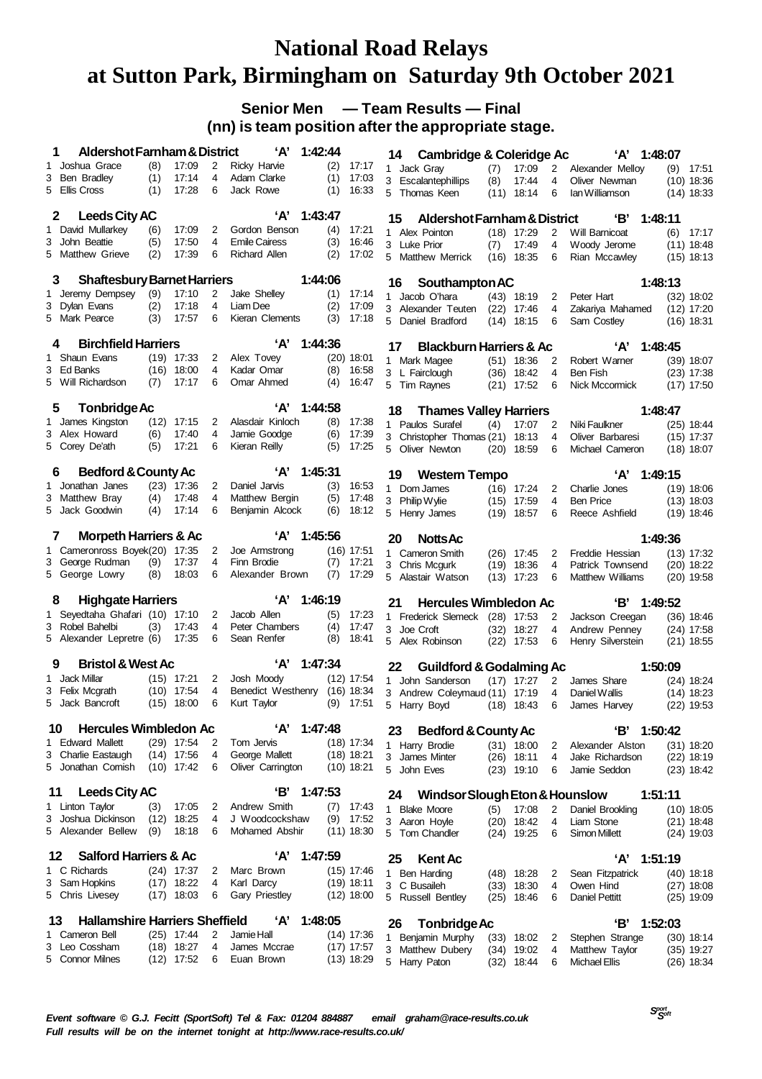#### **Senior Men — Team Results — Final (nn) is team position after the appropriate stage.**

| 1  | Aldershot Farnham & District                            |            |                              |        | ʻA'                           | 1:42:44    |                |    | 14 | <b>Cambridge &amp; Coleridge Ac</b>     |      |                              |                | ʻA'                                | 1:48:07 |                              |
|----|---------------------------------------------------------|------------|------------------------------|--------|-------------------------------|------------|----------------|----|----|-----------------------------------------|------|------------------------------|----------------|------------------------------------|---------|------------------------------|
| 1  | Joshua Grace                                            | (8)        | 17:09                        | 2      | Ricky Harvie                  | (2)        | 17:17          |    |    | 1 Jack Gray                             | (7)  | 17:09                        | $\overline{2}$ | Alexander Mellov                   | (9)     | 17:51                        |
| 3  | Ben Bradley                                             | (1)        | 17:14                        | 4      | Adam Clarke                   | (1)        | 17:03          |    |    | 3 Escalantephillips                     | (8)  | 17:44                        | 4              | Oliver Newman                      |         | $(10)$ 18:36                 |
|    | 5 Ellis Cross                                           | (1)        | 17:28                        | 6      | Jack Rowe                     | (1)        | 16:33          |    |    | 5 Thomas Keen                           |      | $(11)$ 18:14                 | 6              | lan Williamson                     |         | $(14)$ 18:33                 |
|    | <b>Leeds City AC</b><br>2                               |            |                              |        | ʻA'                           | 1:43:47    |                |    | 15 | Aldershot Farnham & District            |      |                              |                | 'В'                                | 1:48:11 |                              |
|    | 1 David Mullarkey                                       | (6)        | 17:09                        | 2      | Gordon Benson                 | (4)        | 17:21          |    |    | 1 Alex Pointon                          |      | $(18)$ 17:29                 | 2              | Will Barnicoat                     | (6)     | 17:17                        |
|    | 3 John Beattie                                          | (5)        | 17:50                        | 4      | <b>Emile Cairess</b>          | (3)        | 16:46          |    |    | 3 Luke Prior                            | (7)  | 17:49                        | 4              | Woody Jerome                       |         | $(11)$ 18:48                 |
|    | 5 Matthew Grieve                                        | (2)        | 17:39                        | 6      | <b>Richard Allen</b>          | (2)        | 17:02          |    |    | 5 Matthew Merrick                       |      | $(16)$ 18:35                 | 6              | Rian Mccawley                      |         | $(15)$ 18:13                 |
|    | <b>Shaftesbury Barnet Harriers</b><br>3                 |            |                              |        |                               | 1:44:06    |                |    |    |                                         |      |                              |                |                                    |         |                              |
|    |                                                         |            |                              |        |                               |            |                |    | 16 | Southampton AC                          |      |                              |                |                                    | 1:48:13 |                              |
| 3  | 1 Jeremy Dempsey<br>Dylan Evans                         | (9)<br>(2) | 17:10<br>17:18               | 2<br>4 | Jake Shelley<br>Liam Dee      | (1)<br>(2) | 17:14<br>17:09 |    |    | 1 Jacob O'hara                          |      | $(43)$ 18:19                 | 2              | Peter Hart                         |         | $(32)$ 18:02                 |
|    | 5 Mark Pearce                                           | (3)        | 17:57                        | 6      | Kieran Clements               | (3)        | 17:18          |    |    | 3 Alexander Teuten<br>5 Daniel Bradford |      | $(22)$ 17:46<br>$(14)$ 18:15 | 4<br>6         | Zakariya Mahamed<br>Sam Costley    |         | $(12)$ 17:20<br>$(16)$ 18:31 |
|    |                                                         |            |                              |        |                               |            |                |    |    |                                         |      |                              |                |                                    |         |                              |
|    | <b>Birchfield Harriers</b><br>4                         |            |                              |        | ʻA'                           | 1:44:36    |                |    | 17 | <b>Blackburn Harriers &amp; Ac</b>      |      |                              |                | ʻA'                                | 1:48:45 |                              |
|    | 1 Shaun Evans                                           |            | $(19)$ 17:33                 | 2      | Alex Tovey                    |            | $(20)$ 18:01   |    |    | 1 Mark Magee                            |      | $(51)$ 18:36                 | 2              | Robert Warner                      |         | $(39)$ 18:07                 |
|    | 3 Ed Banks                                              |            | $(16)$ 18:00                 | 4      | Kadar Omar                    | (8)        | 16:58          |    |    | 3 L Fairclough                          |      | $(36)$ 18:42                 | 4              | Ben Fish                           |         | $(23)$ 17:38                 |
|    | 5 Will Richardson                                       | (7)        | 17:17                        | 6      | Omar Ahmed                    | (4)        | 16:47          |    |    | 5 Tim Raynes                            |      | $(21)$ 17:52                 | 6              | Nick Mccormick                     |         | $(17)$ 17:50                 |
|    | <b>Tonbridge Ac</b><br>5                                |            |                              |        | 'Α'                           | 1:44:58    |                |    | 18 | <b>Thames Valley Harriers</b>           |      |                              |                |                                    | 1:48:47 |                              |
|    | 1 James Kingston                                        |            | $(12)$ 17:15                 | 2      | Alasdair Kinloch              | (8)        | 17:38          |    |    | 1 Paulos Surafel                        | (4)  | 17:07                        | 2              | Niki Faulkner                      |         | $(25)$ 18:44                 |
|    | 3 Alex Howard                                           | (6)        | 17:40                        | 4      | Jamie Goodge                  | (6)        | 17:39          |    |    | 3 Christopher Thomas (21) 18:13         |      |                              | 4              | Oliver Barbaresi                   |         | $(15)$ 17:37                 |
|    | 5 Corey De'ath                                          | (5)        | 17:21                        | 6      | Kieran Reilly                 | (5)        | 17:25          |    |    | 5 Oliver Newton                         |      | $(20)$ 18:59                 | 6              | Michael Cameron                    |         | $(18)$ 18:07                 |
|    |                                                         |            |                              |        | ʻA'                           | 1:45:31    |                |    |    |                                         |      |                              |                |                                    |         |                              |
|    | <b>Bedford &amp; County Ac</b><br>6<br>1 Jonathan Janes |            | $(23)$ 17:36                 | 2      | Daniel Jarvis                 | (3)        | 16:53          |    | 19 | <b>Western Tempo</b>                    |      |                              |                | 'А'                                | 1:49:15 |                              |
| 3  | Matthew Bray                                            | (4)        | 17:48                        | 4      | Matthew Bergin                | (5)        | 17:48          |    |    | 1 Dom James                             |      | $(16)$ 17:24                 | 2<br>4         | Charlie Jones<br><b>Ben Price</b>  |         | $(19)$ 18:06                 |
|    | 5 Jack Goodwin                                          | (4)        | 17:14                        | 6      | Benjamin Alcock               | (6)        | 18:12          | 5  |    | 3 Philip Wylie<br>Henry James           | (19) | $(15)$ 17:59<br>18:57        | 6              | Reece Ashfield                     |         | $(13)$ 18:03<br>$(19)$ 18:46 |
|    |                                                         |            |                              |        |                               |            |                |    |    |                                         |      |                              |                |                                    |         |                              |
|    | <b>Morpeth Harriers &amp; Ac</b><br>7                   |            |                              |        | 'А'                           | 1:45:56    |                |    | 20 | <b>Notts Ac</b>                         |      |                              |                |                                    | 1:49:36 |                              |
|    | 1 Cameronross Boyek(20) 17:35                           |            |                              | 2      | Joe Armstrong                 |            | $(16)$ 17:51   |    |    | 1 Cameron Smith                         |      | $(26)$ 17:45                 | 2              | Freddie Hessian                    |         | $(13)$ 17:32                 |
|    | 3 George Rudman<br>5 George Lowry                       | (9)<br>(8) | 17:37<br>18:03               | 4<br>6 | Finn Brodie                   | (7)        | 17:21          |    |    | 3 Chris Mcgurk                          |      | $(19)$ 18:36                 | 4              | Patrick Townsend                   |         | $(20)$ 18:22                 |
|    |                                                         |            |                              |        | Alexander Brown               | (7)        | 17:29          |    |    | 5 Alastair Watson                       |      | $(13)$ 17:23                 | 6              | Matthew Williams                   |         | $(20)$ 19:58                 |
|    | <b>Highgate Harriers</b><br>8                           |            |                              |        | 'А'                           | 1:46:19    |                | 21 |    | <b>Hercules Wimbledon Ac</b>            |      |                              |                | 'В'                                | 1:49:52 |                              |
|    | 1 Seyedtaha Ghafari (10) 17:10                          |            |                              | 2      | Jacob Allen                   | (5)        | 17:23          |    |    | 1 Frederick Slemeck                     |      | $(28)$ 17:53                 | 2              | Jackson Creegan                    |         | $(36)$ 18:46                 |
|    | 3 Robel Bahelbi                                         | (3)        | 17:43                        | 4      | Peter Chambers                | (4)        | 17:47          |    |    | 3 Joe Croft                             |      | $(32)$ 18:27                 | 4              | Andrew Penney                      |         | $(24)$ 17:58                 |
|    | 5 Alexander Lepretre (6)                                |            | 17:35                        | 6      | Sean Renfer                   | (8)        | 18:41          |    |    | 5 Alex Robinson                         |      | $(22)$ 17:53                 | 6              | Henry Silverstein                  |         | $(21)$ 18:55                 |
| 9  | <b>Bristol &amp; West Ac</b>                            |            |                              |        | ʻA'                           | 1:47:34    |                |    | 22 | <b>Guildford &amp; Godalming Ac</b>     |      |                              |                |                                    | 1:50:09 |                              |
|    | 1 Jack Millar                                           |            | $(15)$ 17:21                 | 2      | Josh Moody                    |            | $(12)$ 17:54   |    |    | 1 John Sanderson                        |      | $(17)$ 17:27                 | $\overline{2}$ | James Share                        |         | $(24)$ 18:24                 |
|    | 3 Felix Mcgrath                                         |            | $(10)$ 17:54                 | 4      | Benedict Westhenry (16) 18:34 |            |                |    |    | 3 Andrew Coleymaud (11) 17:19           |      |                              | 4              | Daniel Wallis                      |         | $(14)$ 18:23                 |
|    | 5 Jack Bancroft                                         |            | $(15)$ 18:00                 | 6      | Kurt Taylor                   |            | $(9)$ 17:51    |    |    | 5 Harry Boyd                            |      | $(18)$ 18:43                 | 6              | James Harvey                       |         | $(22)$ 19:53                 |
|    | <b>Hercules Wimbledon Ac</b><br>10                      |            |                              |        | 'А'                           | 1:47:48    |                |    | 23 | <b>Bedford &amp; County Ac</b>          |      |                              |                | 'В'                                | 1:50:42 |                              |
|    | 1 Edward Mallett                                        |            | $(29)$ 17:54                 | 2      | Tom Jervis                    |            | $(18)$ 17:34   |    |    | 1 Harry Brodie                          |      | $(31)$ 18:00                 | 2              | Alexander Alston                   |         | $(31)$ 18:20                 |
|    | 3 Charlie Eastaugh                                      |            | $(14)$ 17:56                 | 4      | George Mallett                |            | $(18)$ 18:21   |    |    | 3 James Minter                          |      | $(26)$ 18:11                 | 4              | Jake Richardson                    |         | $(22)$ 18:19                 |
|    | 5 Jonathan Cornish                                      |            | $(10)$ 17:42                 | 6      | Oliver Carrington             |            | $(10)$ 18:21   |    |    | 5 John Eves                             |      | $(23)$ 19:10                 | 6              | Jamie Seddon                       |         | $(23)$ 18:42                 |
| 11 | <b>Leeds City AC</b>                                    |            |                              |        | 'В'                           | 1:47:53    |                |    | 24 | Windsor Slough Eton & Hounslow          |      |                              |                |                                    | 1:51:11 |                              |
|    | 1 Linton Taylor                                         | (3)        | 17:05                        | 2      | Andrew Smith                  | (7)        | 17:43          | 1  |    | <b>Blake Moore</b>                      | (5)  | 17:08                        | 2              | Daniel Brookling                   |         | $(10)$ 18:05                 |
| 3  | Joshua Dickinson                                        | (12)       | 18:25                        | 4      | J Woodcockshaw                |            | $(9)$ 17:52    |    |    | 3 Aaron Hoyle                           |      | $(20)$ 18:42                 | 4              | Liam Stone                         |         | $(21)$ 18:48                 |
|    | 5 Alexander Bellew                                      | (9)        | 18:18                        | 6      | Mohamed Abshir                |            | $(11)$ 18:30   |    |    | 5 Tom Chandler                          |      | $(24)$ 19:25                 | 6              | <b>Simon Millett</b>               |         | $(24)$ 19:03                 |
|    | <b>Salford Harriers &amp; Ac</b>                        |            |                              |        | ʻA'                           | 1:47:59    |                |    |    |                                         |      |                              |                |                                    |         |                              |
| 12 | 1 C Richards                                            |            | $(24)$ 17:37                 | 2      | Marc Brown                    |            | $(15)$ 17:46   |    | 25 | <b>Kent Ac</b>                          |      |                              |                | ʻA'                                | 1:51:19 |                              |
|    | 3 Sam Hopkins                                           |            | $(17)$ 18:22                 | 4      | Karl Darcy                    |            | $(19)$ 18:11   |    |    | 1 Ben Harding                           |      | $(48)$ 18:28                 | 2              | Sean Fitzpatrick                   |         | $(40)$ 18:18                 |
|    | 5 Chris Livesey                                         |            | $(17)$ 18:03                 | 6      | Gary Priestley                |            | $(12)$ 18:00   |    |    | 3 C Busaileh<br>5 Russell Bentley       |      | $(33)$ 18:30<br>$(25)$ 18:46 | 4<br>6         | Owen Hind<br><b>Daniel Pettitt</b> |         | $(27)$ 18:08<br>$(25)$ 19:09 |
|    |                                                         |            |                              |        |                               |            |                |    |    |                                         |      |                              |                |                                    |         |                              |
| 13 | <b>Hallamshire Harriers Sheffield</b>                   |            |                              |        | ʻA'                           | 1:48:05    |                |    | 26 | <b>Tonbridge Ac</b>                     |      |                              |                | 'В'                                | 1:52:03 |                              |
|    | 1 Cameron Bell                                          |            | $(25)$ 17:44                 | 2      | Jamie Hall                    |            | $(14)$ 17:36   |    |    | 1 Benjamin Murphy                       |      | $(33)$ 18:02                 | 2              | Stephen Strange                    |         | $(30)$ 18:14                 |
| 3  | Leo Cossham<br>5 Connor Milnes                          |            | $(18)$ 18:27<br>$(12)$ 17:52 | 4<br>6 | James Mccrae<br>Euan Brown    |            | $(17)$ 17:57   |    |    | 3 Matthew Dubery                        |      | $(34)$ 19:02                 | 4              | Matthew Taylor                     |         | $(35)$ 19:27                 |
|    |                                                         |            |                              |        |                               |            | $(13)$ 18:29   |    |    | 5 Harry Paton                           |      | $(32)$ 18:44                 | 6              | <b>Michael Ellis</b>               |         | $(26)$ 18:34                 |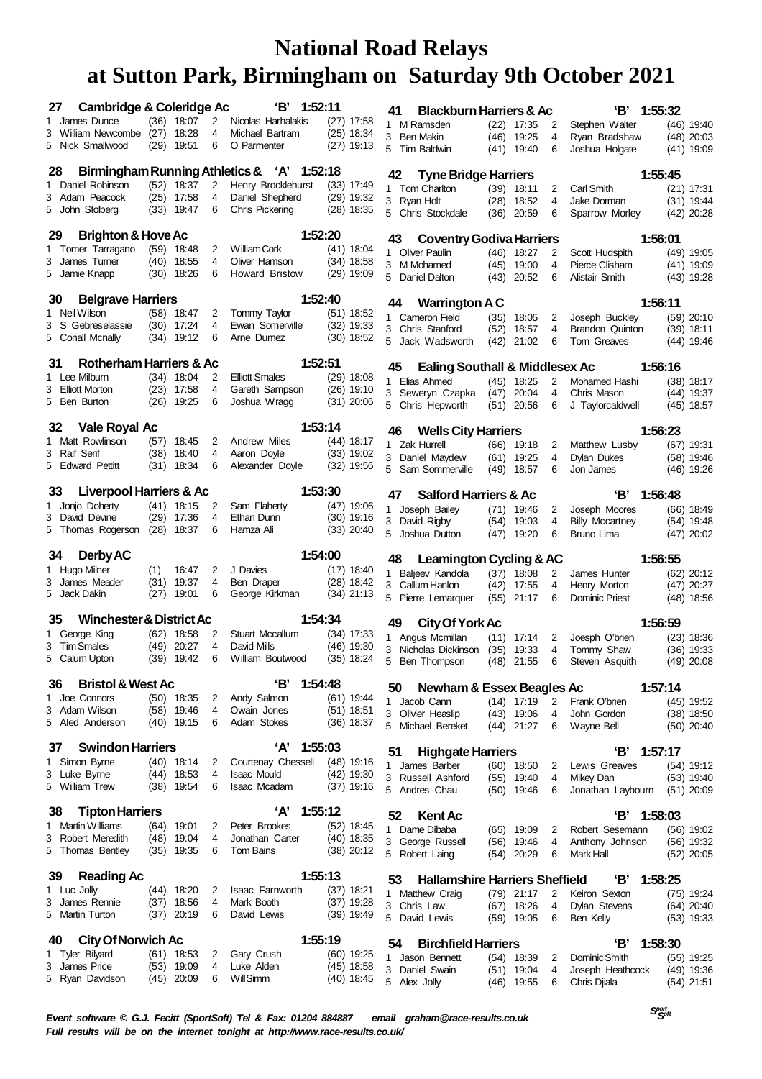| 27 | <b>Cambridge &amp; Coleridge Ac</b>       |      |                              |        | 'В'<br>1:52:11                             |         |                              | 41      | <b>Blackburn Harriers &amp; Ac</b>                       |      |                              |                | 'В'                               | 1:55:32 |                              |
|----|-------------------------------------------|------|------------------------------|--------|--------------------------------------------|---------|------------------------------|---------|----------------------------------------------------------|------|------------------------------|----------------|-----------------------------------|---------|------------------------------|
|    | 1 James Dunce                             |      | $(36)$ 18:07                 | 2      | Nicolas Harhalakis                         |         | $(27)$ 17:58                 |         | 1 M Ramsden                                              |      | $(22)$ 17:35                 | 2              | Stephen Walter                    |         | (46) 19:40                   |
|    | 3 William Newcombe                        | (27) | 18:28                        | 4      | Michael Bartram                            |         | $(25)$ 18:34                 |         | 3 Ben Makin                                              |      | (46) 19:25                   | 4              | Ryan Bradshaw                     |         | $(48)$ 20:03                 |
|    | 5 Nick Smallwood                          |      | $(29)$ 19:51                 | 6      | O Parmenter                                |         | $(27)$ 19:13                 |         | 5 Tim Baldwin                                            |      | $(41)$ 19:40                 | 6              | Joshua Holgate                    |         | (41) 19:09                   |
| 28 |                                           |      |                              |        | Birmingham Running Athletics & 'A' 1:52:18 |         |                              | 42      | <b>Tyne Bridge Harriers</b>                              |      |                              |                |                                   | 1:55:45 |                              |
|    | 1 Daniel Robinson                         |      | $(52)$ 18:37                 | 2      | Henry Brocklehurst                         |         | $(33)$ 17:49                 |         | 1 Tom Charlton                                           |      | $(39)$ 18:11                 | 2              | Carl Smith                        |         | $(21)$ 17:31                 |
|    | 3 Adam Peacock                            | (25) | 17:58                        | 4      | Daniel Shepherd                            |         | $(29)$ 19:32                 |         | 3 Ryan Holt                                              |      | (28) 18:52                   | 4              | Jake Dorman                       |         | $(31)$ 19:44                 |
|    | 5 John Stolberg                           |      | $(33)$ 19:47                 | 6      | Chris Pickering                            |         | $(28)$ 18:35                 |         | 5 Chris Stockdale                                        |      | $(36)$ 20:59                 | 6              | Sparrow Morley                    |         | $(42)$ 20:28                 |
| 29 |                                           |      |                              |        |                                            | 1:52:20 |                              |         |                                                          |      |                              |                |                                   |         |                              |
|    | Brighton & Hove Ac<br>1 Tomer Tarragano   |      | $(59)$ 18:48                 | 2      | William Cork                               |         | $(41)$ 18:04                 | 43      | <b>Coventry Godiva Harriers</b>                          |      |                              |                |                                   | 1:56:01 |                              |
|    | 3 James Tumer                             |      | $(40)$ 18:55                 | 4      | Oliver Hamson                              |         | $(34)$ 18:58                 |         | 1 Oliver Paulin<br>3 M Mohamed                           |      | $(46)$ 18:27                 | 2<br>4         | Scott Hudspith                    |         | $(49)$ 19:05                 |
|    | 5 Jamie Knapp                             |      | $(30)$ 18:26                 | 6      | <b>Howard Bristow</b>                      |         | $(29)$ 19:09                 |         | 5 Daniel Dalton                                          |      | $(45)$ 19:00<br>$(43)$ 20:52 | 6              | Pierce Clisham<br>Alistair Smith  |         | $(41)$ 19:09<br>(43) 19:28   |
|    |                                           |      |                              |        |                                            |         |                              |         |                                                          |      |                              |                |                                   |         |                              |
| 30 | <b>Belgrave Harriers</b><br>1 Neil Wilson |      | $(58)$ 18:47                 |        | Tommy Taylor                               | 1:52:40 | $(51)$ 18:52                 | 44      | <b>Warrington A C</b>                                    |      |                              |                |                                   | 1:56:11 |                              |
|    | 3 S Gebreselassie                         |      | $(30)$ 17:24                 | 2<br>4 | Ewan Somerville                            |         | $(32)$ 19:33                 |         | 1 Cameron Field                                          | (35) | 18:05                        | 2              | Joseph Buckley                    |         | (59) 20:10                   |
|    | 5 Conall Mcnally                          |      | $(34)$ 19:12                 | 6      | Arne Dumez                                 |         | $(30)$ 18:52                 |         | 3 Chris Stanford<br>5 Jack Wadsworth                     |      | $(52)$ 18:57<br>$(42)$ 21:02 | 4<br>6         | Brandon Quinton<br>Tom Greaves    |         | $(39)$ 18:11<br>(44) 19:46   |
|    |                                           |      |                              |        |                                            |         |                              |         |                                                          |      |                              |                |                                   |         |                              |
| 31 | Rotherham Harriers & Ac                   |      |                              |        |                                            | 1:52:51 |                              | 45      | <b>Ealing Southall &amp; Middlesex Ac</b>                |      |                              |                |                                   | 1:56:16 |                              |
|    | 1 Lee Milburn                             |      | $(34)$ 18:04                 | 2      | <b>Elliott Smales</b>                      |         | $(29)$ 18:08                 |         | 1 Elias Ahmed                                            |      | $(45)$ 18:25                 | 2              | Mohamed Hashi                     |         | (38) 18:17                   |
|    | 3 Elliott Morton<br>5 Ben Burton          |      | $(23)$ 17:58<br>$(26)$ 19:25 | 4<br>6 | Gareth Sampson<br>Joshua Wragg             |         | $(26)$ 19:10<br>$(31)$ 20:06 |         | 3 Seweryn Czapka                                         | (47) | 20:04                        | 4              | Chris Mason                       |         | (44) 19:37                   |
|    |                                           |      |                              |        |                                            |         |                              |         | 5 Chris Hepworth                                         |      | $(51)$ 20:56                 | 6              | J Taylorcaldwell                  |         | $(45)$ 18:57                 |
| 32 | <b>Vale Royal Ac</b>                      |      |                              |        |                                            | 1:53:14 |                              | 46      | <b>Wells City Harriers</b>                               |      |                              |                |                                   | 1:56:23 |                              |
|    | 1 Matt Rowlinson                          | (57) | 18:45                        | 2      | <b>Andrew Miles</b>                        |         | $(44)$ 18:17                 |         | 1 Zak Hurrell                                            |      | $(66)$ 19:18                 | 2              | Matthew Lusby                     |         | $(67)$ 19:31                 |
|    | 3 Raif Serif                              | (38) | 18:40                        | 4      | Aaron Doyle                                |         | $(33)$ 19:02                 |         | 3 Daniel Mavdew                                          |      | $(61)$ 19:25                 | 4              | Dylan Dukes                       |         | $(58)$ 19:46                 |
|    | 5 Edward Pettitt                          |      | $(31)$ 18:34                 | 6      | Alexander Doyle                            |         | $(32)$ 19:56                 |         | 5 Sam Sommerville                                        |      | $(49)$ 18:57                 | 6              | Jon James                         |         | $(46)$ 19:26                 |
| 33 | <b>Liverpool Harriers &amp; Ac</b>        |      |                              |        |                                            | 1:53:30 |                              |         |                                                          |      |                              |                |                                   |         |                              |
|    | 1 Jonjo Doherty                           |      | $(41)$ 18:15                 | 2      | Sam Flaherty                               |         | $(47)$ 19:06                 | 47<br>1 | <b>Salford Harriers &amp; Ac</b><br>Joseph Bailey        |      | $(71)$ 19:46                 | 2              | 'В'<br>Joseph Moores              | 1:56:48 | (66) 18:49                   |
|    | 3 David Devine                            |      | $(29)$ 17:36                 | 4      | Ethan Dunn                                 |         | $(30)$ 19:16                 |         | 3 David Rigby                                            |      | $(54)$ 19:03                 | 4              | <b>Billy Mccartney</b>            |         | $(54)$ 19:48                 |
|    | 5 Thomas Rogerson                         |      | $(28)$ 18:37                 | 6      | Hamza Ali                                  |         | $(33)$ 20:40                 |         | 5 Joshua Dutton                                          |      | $(47)$ 19:20                 | 6              | Bruno Lima                        |         | $(47)$ 20:02                 |
| 34 | <b>Derby AC</b>                           |      |                              |        |                                            | 1:54:00 |                              |         |                                                          |      |                              |                |                                   |         |                              |
|    | 1 Hugo Milner                             | (1)  | 16:47                        | 2      | J Davies                                   |         | $(17)$ 18:40                 | 48      | <b>Leamington Cycling &amp; AC</b>                       |      |                              |                |                                   | 1:56:55 |                              |
|    | 3 James Meader                            | (31) | 19:37                        | 4      | Ben Draper                                 |         | $(28)$ 18:42                 |         | 1 Baljeev Kandola<br>3 Callum Hanlon                     |      | $(37)$ 18:08<br>(42) 17:55   | 2<br>4         | James Hunter<br>Henry Morton      |         | (62) 20:12<br>$(47)$ 20:27   |
|    | 5 Jack Dakin                              | (27) | 19:01                        | 6      | George Kirkman                             |         | $(34)$ 21:13                 |         | 5 Pierre Lemarquer                                       |      | $(55)$ 21:17                 | 6              | Dominic Priest                    |         | $(48)$ 18:56                 |
|    |                                           |      |                              |        |                                            |         |                              |         |                                                          |      |                              |                |                                   |         |                              |
| 35 | <b>Winchester &amp; District Ac</b>       |      |                              |        |                                            | 1:54:34 |                              | 49      | <b>City Of York Ac</b>                                   |      |                              |                |                                   | 1:56:59 |                              |
|    | 1 George King<br>3 Tim Smales             | (49) | $(62)$ 18:58<br>20:27        | 2<br>4 | Stuart Mccallum<br>David Mills             |         | $(34)$ 17:33<br>$(46)$ 19:30 |         | 1 Angus Mcmillan                                         |      | $(11)$ 17:14                 | 2              | Joesph O'brien                    |         | $(23)$ 18:36                 |
|    | 5 Calum Upton                             |      | $(39)$ 19:42                 | 6      | William Boutwood                           |         | $(35)$ 18:24                 |         | 3 Nicholas Dickinson<br>5 Ben Thompson                   | (35) | 19:33<br>(48) 21:55          | 4<br>6         | Tommy Shaw<br>Steven Asquith      |         | $(36)$ 19:33<br>$(49)$ 20:08 |
|    |                                           |      |                              |        |                                            |         |                              |         |                                                          |      |                              |                |                                   |         |                              |
| 36 | <b>Bristol &amp; West Ac</b>              |      |                              |        | 'В'                                        | 1:54:48 |                              | 50      | <b>Newham &amp; Essex Beagles Ac</b>                     |      |                              |                |                                   | 1:57:14 |                              |
|    | 1 Joe Connors                             |      | $(50)$ 18:35                 | 2      | Andy Salmon                                |         | $(61)$ 19:44                 |         | 1 Jacob Cann                                             |      | $(14)$ 17:19                 | $\overline{2}$ | Frank O'brien                     |         | $(45)$ 19:52                 |
|    | 3 Adam Wilson<br>5 Aled Anderson          |      | $(58)$ 19:46<br>$(40)$ 19:15 | 4<br>6 | Owain Jones<br>Adam Stokes                 |         | $(51)$ 18:51<br>$(36)$ 18:37 |         | 3 Olivier Heaslip                                        |      | $(43)$ 19:06                 | 4              | John Gordon                       |         | $(38)$ 18:50                 |
|    |                                           |      |                              |        |                                            |         |                              |         | 5 Michael Bereket                                        |      | (44) 21:27                   | 6              | Wayne Bell                        |         | $(50)$ 20:40                 |
| 37 | <b>Swindon Harriers</b>                   |      |                              |        | ʻA'                                        | 1:55:03 |                              | 51      | <b>Highgate Harriers</b>                                 |      |                              |                | 'В'                               | 1:57:17 |                              |
|    | 1 Simon Byrne                             |      | $(40)$ 18:14                 | 2      | Courtenay Chessell                         |         | $(48)$ 19:16                 | 1       | James Barber                                             |      | $(60)$ 18:50                 | 2              | Lewis Greaves                     |         | $(54)$ 19:12                 |
|    | 3 Luke Byrne<br>5 William Trew            |      | $(44)$ 18:53                 | 4      | <b>Isaac Mould</b>                         |         | $(42)$ 19:30                 |         | 3 Russell Ashford                                        |      | $(55)$ 19:40                 | 4              | Mikey Dan                         |         | $(53)$ 19:40                 |
|    |                                           |      | $(38)$ 19:54                 | 6      | <b>Isaac Mcadam</b>                        |         | $(37)$ 19:16                 |         | 5 Andres Chau                                            |      | $(50)$ 19:46                 | 6              | Jonathan Laybourn                 |         | $(51)$ 20:09                 |
| 38 | <b>Tipton Harriers</b>                    |      |                              |        | ʻA'                                        | 1:55:12 |                              | 52      | <b>Kent Ac</b>                                           |      |                              |                | 'В'                               | 1:58:03 |                              |
|    | 1 Martin Williams                         |      | $(64)$ 19:01                 | 2      | Peter Brookes                              |         | $(52)$ 18:45                 | 1       | Dame Dibaba                                              |      | $(65)$ 19:09                 | 2              | Robert Sesemann                   |         | $(56)$ 19:02                 |
|    | 3 Robert Meredith                         |      | $(48)$ 19:04                 | 4      | Jonathan Carter                            |         | $(40)$ 18:35                 |         | 3 George Russell                                         |      | $(56)$ 19:46                 | 4              | Anthony Johnson                   |         | $(56)$ 19:32                 |
|    | 5 Thomas Bentley                          |      | $(35)$ 19:35                 | 6      | Tom Bains                                  |         | $(38)$ 20:12                 |         | 5 Robert Laing                                           |      | $(54)$ 20:29                 | 6              | Mark Hall                         |         | $(52)$ 20:05                 |
| 39 | <b>Reading Ac</b>                         |      |                              |        |                                            | 1:55:13 |                              |         |                                                          |      |                              |                |                                   |         |                              |
|    | 1 Luc Jolly                               |      | $(44)$ 18:20                 | 2      | <b>Isaac Farnworth</b>                     |         | $(37)$ 18:21                 | 53      | <b>Hallamshire Harriers Sheffield</b><br>1 Matthew Craig |      | $(79)$ 21:17                 | 2              | 'В'<br>Keiron Sexton              | 1:58:25 | (75) 19:24                   |
|    | 3 James Rennie                            |      | $(37)$ 18:56                 | 4      | Mark Booth                                 |         | $(37)$ 19:28                 |         | 3 Chris Law                                              |      | $(67)$ 18:26                 | 4              | Dylan Stevens                     |         | $(64)$ 20:40                 |
|    | 5 Martin Turton                           | (37) | 20:19                        | 6      | David Lewis                                |         | $(39)$ 19:49                 |         | 5 David Lewis                                            |      | $(59)$ 19:05                 | 6              | Ben Kelly                         |         | $(53)$ 19:33                 |
| 40 | <b>City Of Norwich Ac</b>                 |      |                              |        |                                            | 1:55:19 |                              |         |                                                          |      |                              |                |                                   |         |                              |
|    | 1 Tyler Bilyard                           |      | $(61)$ 18:53                 | 2      | Gary Crush                                 |         | (60) 19:25                   | 54      | <b>Birchfield Harriers</b>                               |      |                              |                | 'В'                               | 1:58:30 |                              |
|    | 3 James Price                             |      | $(53)$ 19:09                 | 4      | Luke Alden                                 |         | $(45)$ 18:58                 | 1       | Jason Bennett<br>3 Daniel Swain                          |      | $(54)$ 18:39<br>(51) 19:04   | 2<br>4         | Dominic Smith<br>Joseph Heathcock |         | $(55)$ 19:25<br>(49) 19:36   |
|    |                                           |      |                              |        |                                            |         |                              |         |                                                          |      |                              |                |                                   |         |                              |
|    | 5 Ryan Davidson                           |      | $(45)$ 20:09                 | 6      | <b>Will Simm</b>                           |         | $(40)$ 18:45                 |         | 5 Alex Jolly                                             |      | $(46)$ 19:55                 | 6              | Chris Djiala                      |         | $(54)$ 21:51                 |

 *Soft Event software © G.J. Fecitt (SportSoft) Tel & Fax: 01204 884887 email graham@race-results.co.uk Full results will be on the internet tonight at http://www.race-results.co.uk/*